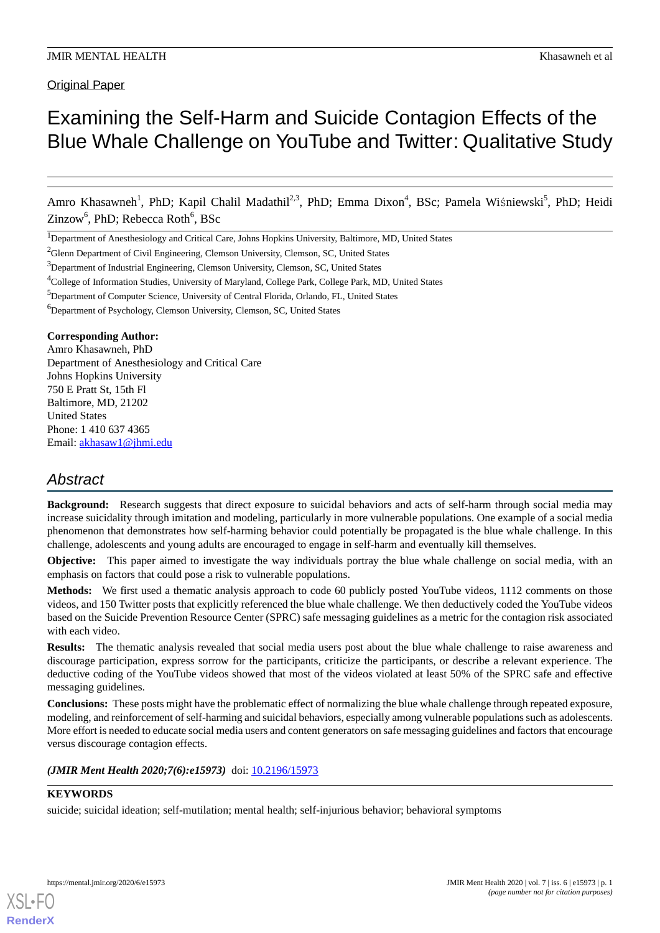Original Paper

# Examining the Self-Harm and Suicide Contagion Effects of the Blue Whale Challenge on YouTube and Twitter: Qualitative Study

Amro Khasawneh<sup>1</sup>, PhD; Kapil Chalil Madathil<sup>2,3</sup>, PhD; Emma Dixon<sup>4</sup>, BSc; Pamela Wiśniewski<sup>5</sup>, PhD; Heidi Zinzow<sup>6</sup>, PhD; Rebecca Roth<sup>6</sup>, BSc

<sup>1</sup>Department of Anesthesiology and Critical Care, Johns Hopkins University, Baltimore, MD, United States

<sup>2</sup>Glenn Department of Civil Engineering, Clemson University, Clemson, SC, United States

<sup>3</sup>Department of Industrial Engineering, Clemson University, Clemson, SC, United States

<sup>4</sup>College of Information Studies, University of Maryland, College Park, College Park, MD, United States

<sup>5</sup>Department of Computer Science, University of Central Florida, Orlando, FL, United States

<sup>6</sup>Department of Psychology, Clemson University, Clemson, SC, United States

#### **Corresponding Author:**

Amro Khasawneh, PhD Department of Anesthesiology and Critical Care Johns Hopkins University 750 E Pratt St, 15th Fl Baltimore, MD, 21202 United States Phone: 1 410 637 4365 Email: [akhasaw1@jhmi.edu](mailto:akhasaw1@jhmi.edu)

# *Abstract*

**Background:** Research suggests that direct exposure to suicidal behaviors and acts of self-harm through social media may increase suicidality through imitation and modeling, particularly in more vulnerable populations. One example of a social media phenomenon that demonstrates how self-harming behavior could potentially be propagated is the blue whale challenge. In this challenge, adolescents and young adults are encouraged to engage in self-harm and eventually kill themselves.

**Objective:** This paper aimed to investigate the way individuals portray the blue whale challenge on social media, with an emphasis on factors that could pose a risk to vulnerable populations.

**Methods:** We first used a thematic analysis approach to code 60 publicly posted YouTube videos, 1112 comments on those videos, and 150 Twitter posts that explicitly referenced the blue whale challenge. We then deductively coded the YouTube videos based on the Suicide Prevention Resource Center (SPRC) safe messaging guidelines as a metric for the contagion risk associated with each video.

**Results:** The thematic analysis revealed that social media users post about the blue whale challenge to raise awareness and discourage participation, express sorrow for the participants, criticize the participants, or describe a relevant experience. The deductive coding of the YouTube videos showed that most of the videos violated at least 50% of the SPRC safe and effective messaging guidelines.

**Conclusions:** These posts might have the problematic effect of normalizing the blue whale challenge through repeated exposure, modeling, and reinforcement of self-harming and suicidal behaviors, especially among vulnerable populations such as adolescents. More effort is needed to educate social media users and content generators on safe messaging guidelines and factors that encourage versus discourage contagion effects.

*(JMIR Ment Health 2020;7(6):e15973)* doi: [10.2196/15973](http://dx.doi.org/10.2196/15973)

#### **KEYWORDS**

[XSL](http://www.w3.org/Style/XSL)•FO **[RenderX](http://www.renderx.com/)**

suicide; suicidal ideation; self-mutilation; mental health; self-injurious behavior; behavioral symptoms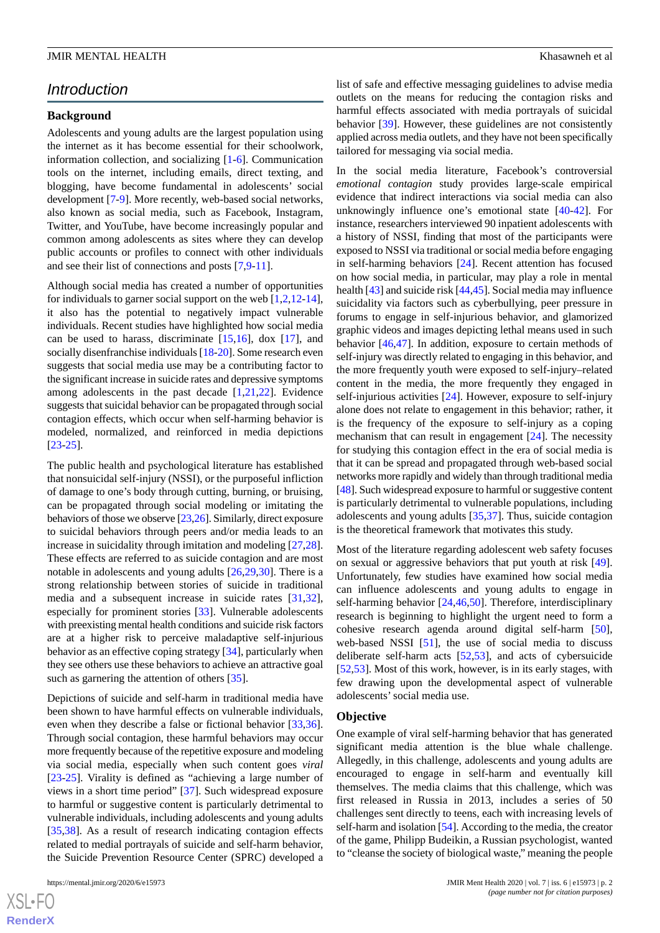# *Introduction*

#### **Background**

Adolescents and young adults are the largest population using the internet as it has become essential for their schoolwork, information collection, and socializing [[1](#page-9-0)[-6](#page-10-0)]. Communication tools on the internet, including emails, direct texting, and blogging, have become fundamental in adolescents' social development [[7](#page-10-1)-[9\]](#page-10-2). More recently, web-based social networks, also known as social media, such as Facebook, Instagram, Twitter, and YouTube, have become increasingly popular and common among adolescents as sites where they can develop public accounts or profiles to connect with other individuals and see their list of connections and posts [[7,](#page-10-1)[9](#page-10-2)-[11\]](#page-10-3).

Although social media has created a number of opportunities for individuals to garner social support on the web [[1](#page-9-0),[2](#page-9-1)[,12](#page-10-4)-[14\]](#page-10-5), it also has the potential to negatively impact vulnerable individuals. Recent studies have highlighted how social media can be used to harass, discriminate  $[15,16]$  $[15,16]$  $[15,16]$ , dox  $[17]$  $[17]$ , and socially disenfranchise individuals [\[18](#page-10-9)[-20](#page-10-10)]. Some research even suggests that social media use may be a contributing factor to the significant increase in suicide rates and depressive symptoms among adolescents in the past decade [[1](#page-9-0)[,21](#page-10-11),[22\]](#page-10-12). Evidence suggests that suicidal behavior can be propagated through social contagion effects, which occur when self-harming behavior is modeled, normalized, and reinforced in media depictions [[23](#page-10-13)[-25](#page-10-14)].

The public health and psychological literature has established that nonsuicidal self-injury (NSSI), or the purposeful infliction of damage to one's body through cutting, burning, or bruising, can be propagated through social modeling or imitating the behaviors of those we observe [\[23](#page-10-13)[,26](#page-10-15)]. Similarly, direct exposure to suicidal behaviors through peers and/or media leads to an increase in suicidality through imitation and modeling [\[27](#page-10-16),[28\]](#page-11-0). These effects are referred to as suicide contagion and are most notable in adolescents and young adults [\[26](#page-10-15),[29](#page-11-1)[,30](#page-11-2)]. There is a strong relationship between stories of suicide in traditional media and a subsequent increase in suicide rates [\[31](#page-11-3),[32\]](#page-11-4), especially for prominent stories [[33\]](#page-11-5). Vulnerable adolescents with preexisting mental health conditions and suicide risk factors are at a higher risk to perceive maladaptive self-injurious behavior as an effective coping strategy [[34\]](#page-11-6), particularly when they see others use these behaviors to achieve an attractive goal such as garnering the attention of others [\[35](#page-11-7)].

Depictions of suicide and self-harm in traditional media have been shown to have harmful effects on vulnerable individuals, even when they describe a false or fictional behavior [\[33](#page-11-5),[36\]](#page-11-8). Through social contagion, these harmful behaviors may occur more frequently because of the repetitive exposure and modeling via social media, especially when such content goes *viral* [[23](#page-10-13)[-25](#page-10-14)]. Virality is defined as "achieving a large number of views in a short time period" [[37\]](#page-11-9). Such widespread exposure to harmful or suggestive content is particularly detrimental to vulnerable individuals, including adolescents and young adults [[35](#page-11-7)[,38](#page-11-10)]. As a result of research indicating contagion effects related to medial portrayals of suicide and self-harm behavior, the Suicide Prevention Resource Center (SPRC) developed a

 $XS$ -FO **[RenderX](http://www.renderx.com/)** list of safe and effective messaging guidelines to advise media outlets on the means for reducing the contagion risks and harmful effects associated with media portrayals of suicidal behavior [[39\]](#page-11-11). However, these guidelines are not consistently applied across media outlets, and they have not been specifically tailored for messaging via social media.

In the social media literature, Facebook's controversial *emotional contagion* study provides large-scale empirical evidence that indirect interactions via social media can also unknowingly influence one's emotional state [\[40](#page-11-12)-[42\]](#page-11-13). For instance, researchers interviewed 90 inpatient adolescents with a history of NSSI, finding that most of the participants were exposed to NSSI via traditional or social media before engaging in self-harming behaviors [\[24](#page-10-17)]. Recent attention has focused on how social media, in particular, may play a role in mental health [\[43\]](#page-11-14) and suicide risk [\[44](#page-11-15),[45](#page-11-16)]. Social media may influence suicidality via factors such as cyberbullying, peer pressure in forums to engage in self-injurious behavior, and glamorized graphic videos and images depicting lethal means used in such behavior [[46,](#page-11-17)[47\]](#page-11-18). In addition, exposure to certain methods of self-injury was directly related to engaging in this behavior, and the more frequently youth were exposed to self-injury–related content in the media, the more frequently they engaged in self-injurious activities [[24\]](#page-10-17). However, exposure to self-injury alone does not relate to engagement in this behavior; rather, it is the frequency of the exposure to self-injury as a coping mechanism that can result in engagement [\[24](#page-10-17)]. The necessity for studying this contagion effect in the era of social media is that it can be spread and propagated through web-based social networks more rapidly and widely than through traditional media [[48\]](#page-11-19). Such widespread exposure to harmful or suggestive content is particularly detrimental to vulnerable populations, including adolescents and young adults [\[35](#page-11-7)[,37](#page-11-9)]. Thus, suicide contagion is the theoretical framework that motivates this study.

Most of the literature regarding adolescent web safety focuses on sexual or aggressive behaviors that put youth at risk [[49\]](#page-11-20). Unfortunately, few studies have examined how social media can influence adolescents and young adults to engage in self-harming behavior [[24,](#page-10-17)[46](#page-11-17),[50\]](#page-11-21). Therefore, interdisciplinary research is beginning to highlight the urgent need to form a cohesive research agenda around digital self-harm [[50\]](#page-11-21), web-based NSSI [[51\]](#page-11-22), the use of social media to discuss deliberate self-harm acts [[52,](#page-11-23)[53\]](#page-12-0), and acts of cybersuicide [[52,](#page-11-23)[53\]](#page-12-0). Most of this work, however, is in its early stages, with few drawing upon the developmental aspect of vulnerable adolescents'social media use.

#### **Objective**

One example of viral self-harming behavior that has generated significant media attention is the blue whale challenge. Allegedly, in this challenge, adolescents and young adults are encouraged to engage in self-harm and eventually kill themselves. The media claims that this challenge, which was first released in Russia in 2013, includes a series of 50 challenges sent directly to teens, each with increasing levels of self-harm and isolation [\[54](#page-12-1)]. According to the media, the creator of the game, Philipp Budeikin, a Russian psychologist, wanted to "cleanse the society of biological waste," meaning the people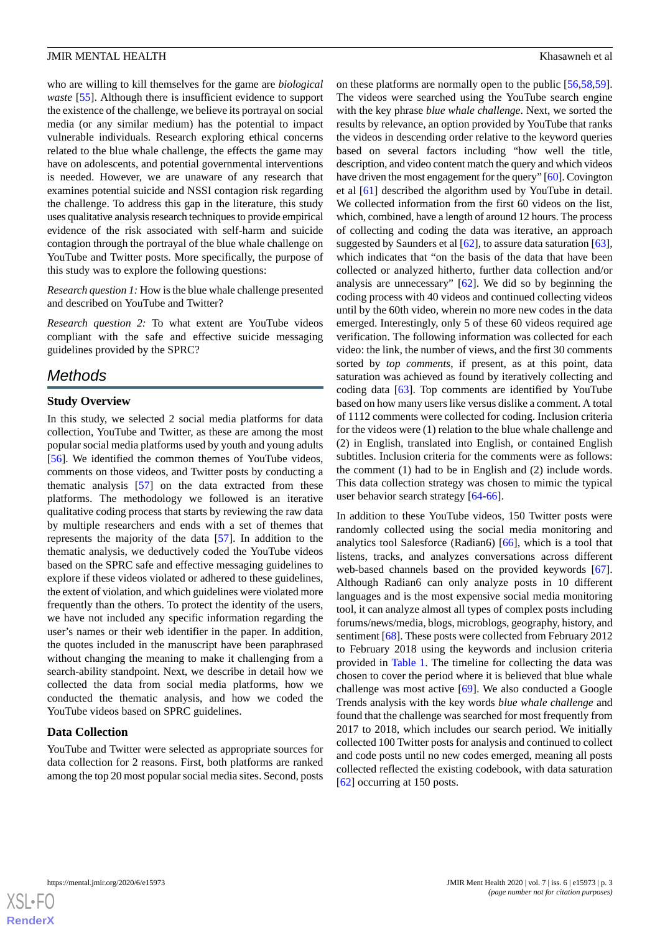who are willing to kill themselves for the game are *biological waste* [[55\]](#page-12-2). Although there is insufficient evidence to support the existence of the challenge, we believe its portrayal on social media (or any similar medium) has the potential to impact vulnerable individuals. Research exploring ethical concerns related to the blue whale challenge, the effects the game may have on adolescents, and potential governmental interventions is needed. However, we are unaware of any research that examines potential suicide and NSSI contagion risk regarding the challenge. To address this gap in the literature, this study uses qualitative analysis research techniques to provide empirical evidence of the risk associated with self-harm and suicide contagion through the portrayal of the blue whale challenge on YouTube and Twitter posts. More specifically, the purpose of this study was to explore the following questions:

*Research question 1:* How is the blue whale challenge presented and described on YouTube and Twitter?

*Research question 2:* To what extent are YouTube videos compliant with the safe and effective suicide messaging guidelines provided by the SPRC?

# *Methods*

#### **Study Overview**

In this study, we selected 2 social media platforms for data collection, YouTube and Twitter, as these are among the most popular social media platforms used by youth and young adults [[56\]](#page-12-3). We identified the common themes of YouTube videos, comments on those videos, and Twitter posts by conducting a thematic analysis [\[57](#page-12-4)] on the data extracted from these platforms. The methodology we followed is an iterative qualitative coding process that starts by reviewing the raw data by multiple researchers and ends with a set of themes that represents the majority of the data [[57\]](#page-12-4). In addition to the thematic analysis, we deductively coded the YouTube videos based on the SPRC safe and effective messaging guidelines to explore if these videos violated or adhered to these guidelines, the extent of violation, and which guidelines were violated more frequently than the others. To protect the identity of the users, we have not included any specific information regarding the user's names or their web identifier in the paper. In addition, the quotes included in the manuscript have been paraphrased without changing the meaning to make it challenging from a search-ability standpoint. Next, we describe in detail how we collected the data from social media platforms, how we conducted the thematic analysis, and how we coded the YouTube videos based on SPRC guidelines.

#### **Data Collection**

YouTube and Twitter were selected as appropriate sources for data collection for 2 reasons. First, both platforms are ranked among the top 20 most popular social media sites. Second, posts

on these platforms are normally open to the public [[56](#page-12-3)[,58](#page-12-5),[59\]](#page-12-6). The videos were searched using the YouTube search engine with the key phrase *blue whale challenge*. Next, we sorted the results by relevance, an option provided by YouTube that ranks the videos in descending order relative to the keyword queries based on several factors including "how well the title, description, and video content match the query and which videos have driven the most engagement for the query" [[60\]](#page-12-7). Covington et al [[61\]](#page-12-8) described the algorithm used by YouTube in detail. We collected information from the first 60 videos on the list, which, combined, have a length of around 12 hours. The process of collecting and coding the data was iterative, an approach suggested by Saunders et al  $[62]$  $[62]$ , to assure data saturation  $[63]$  $[63]$ , which indicates that "on the basis of the data that have been collected or analyzed hitherto, further data collection and/or analysis are unnecessary" [\[62](#page-12-9)]. We did so by beginning the coding process with 40 videos and continued collecting videos until by the 60th video, wherein no more new codes in the data emerged. Interestingly, only 5 of these 60 videos required age verification. The following information was collected for each video: the link, the number of views, and the first 30 comments sorted by *top comments*, if present, as at this point, data saturation was achieved as found by iteratively collecting and coding data [\[63](#page-12-10)]. Top comments are identified by YouTube based on how many users like versus dislike a comment. A total of 1112 comments were collected for coding. Inclusion criteria for the videos were (1) relation to the blue whale challenge and (2) in English, translated into English, or contained English subtitles. Inclusion criteria for the comments were as follows: the comment (1) had to be in English and (2) include words. This data collection strategy was chosen to mimic the typical user behavior search strategy [[64-](#page-12-11)[66\]](#page-12-12).

In addition to these YouTube videos, 150 Twitter posts were randomly collected using the social media monitoring and analytics tool Salesforce (Radian6) [[66\]](#page-12-12), which is a tool that listens, tracks, and analyzes conversations across different web-based channels based on the provided keywords [[67\]](#page-12-13). Although Radian6 can only analyze posts in 10 different languages and is the most expensive social media monitoring tool, it can analyze almost all types of complex posts including forums/news/media, blogs, microblogs, geography, history, and sentiment [[68\]](#page-12-14). These posts were collected from February 2012 to February 2018 using the keywords and inclusion criteria provided in [Table 1.](#page-3-0) The timeline for collecting the data was chosen to cover the period where it is believed that blue whale challenge was most active [[69\]](#page-12-15). We also conducted a Google Trends analysis with the key words *blue whale challenge* and found that the challenge was searched for most frequently from 2017 to 2018, which includes our search period. We initially collected 100 Twitter posts for analysis and continued to collect and code posts until no new codes emerged, meaning all posts collected reflected the existing codebook, with data saturation [[62\]](#page-12-9) occurring at 150 posts.

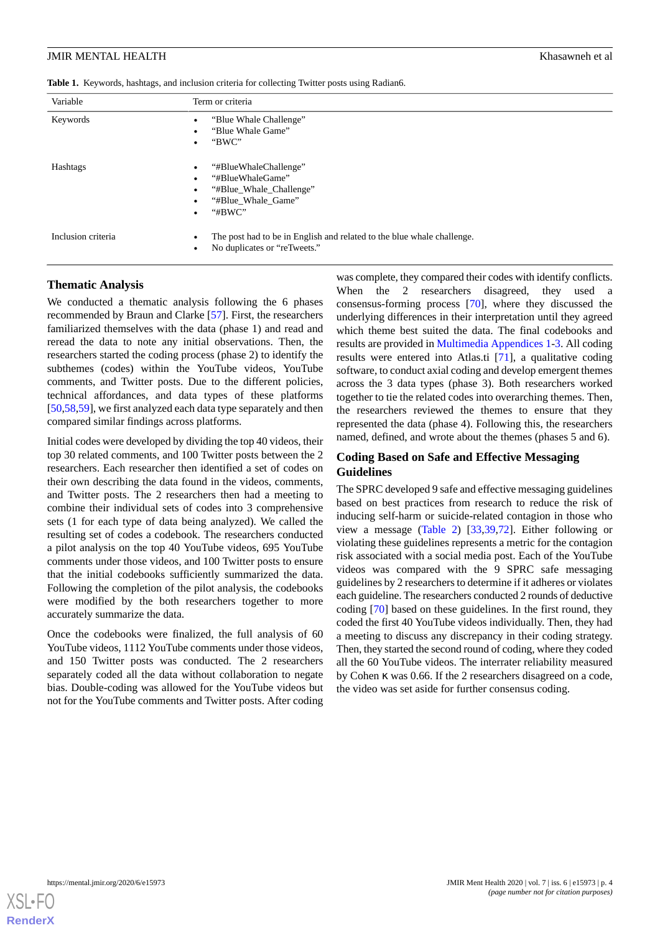<span id="page-3-0"></span>

|  |  |  |  |  |  |  | Table 1. Keywords, hashtags, and inclusion criteria for collecting Twitter posts using Radian6. |
|--|--|--|--|--|--|--|-------------------------------------------------------------------------------------------------|
|--|--|--|--|--|--|--|-------------------------------------------------------------------------------------------------|

| Variable           | Term or criteria                                                                                                         |
|--------------------|--------------------------------------------------------------------------------------------------------------------------|
| Keywords           | "Blue Whale Challenge"<br>"Blue Whale Game"<br>"BWC"                                                                     |
| Hashtags           | "#BlueWhaleChallenge"<br>"#BlueWhaleGame"<br>"#Blue_Whale_Challenge"<br>"#Blue Whale Game"<br>" $#BWC"$<br>$\bullet$     |
| Inclusion criteria | The post had to be in English and related to the blue whale challenge.<br>٠<br>No duplicates or "reTweets."<br>$\bullet$ |

#### **Thematic Analysis**

We conducted a thematic analysis following the 6 phases recommended by Braun and Clarke [\[57](#page-12-4)]. First, the researchers familiarized themselves with the data (phase 1) and read and reread the data to note any initial observations. Then, the researchers started the coding process (phase 2) to identify the subthemes (codes) within the YouTube videos, YouTube comments, and Twitter posts. Due to the different policies, technical affordances, and data types of these platforms [[50](#page-11-21)[,58](#page-12-5),[59\]](#page-12-6), we first analyzed each data type separately and then compared similar findings across platforms.

Initial codes were developed by dividing the top 40 videos, their top 30 related comments, and 100 Twitter posts between the 2 researchers. Each researcher then identified a set of codes on their own describing the data found in the videos, comments, and Twitter posts. The 2 researchers then had a meeting to combine their individual sets of codes into 3 comprehensive sets (1 for each type of data being analyzed). We called the resulting set of codes a codebook. The researchers conducted a pilot analysis on the top 40 YouTube videos, 695 YouTube comments under those videos, and 100 Twitter posts to ensure that the initial codebooks sufficiently summarized the data. Following the completion of the pilot analysis, the codebooks were modified by the both researchers together to more accurately summarize the data.

Once the codebooks were finalized, the full analysis of 60 YouTube videos, 1112 YouTube comments under those videos, and 150 Twitter posts was conducted. The 2 researchers separately coded all the data without collaboration to negate bias. Double-coding was allowed for the YouTube videos but not for the YouTube comments and Twitter posts. After coding was complete, they compared their codes with identify conflicts. When the 2 researchers disagreed, they used a consensus-forming process [[70\]](#page-12-16), where they discussed the underlying differences in their interpretation until they agreed which theme best suited the data. The final codebooks and results are provided in [Multimedia Appendices 1-](#page-9-2)[3.](#page-9-3) All coding results were entered into Atlas.ti [[71\]](#page-12-17), a qualitative coding software, to conduct axial coding and develop emergent themes across the 3 data types (phase 3). Both researchers worked together to tie the related codes into overarching themes. Then, the researchers reviewed the themes to ensure that they represented the data (phase 4). Following this, the researchers named, defined, and wrote about the themes (phases 5 and 6).

# **Coding Based on Safe and Effective Messaging Guidelines**

The SPRC developed 9 safe and effective messaging guidelines based on best practices from research to reduce the risk of inducing self-harm or suicide-related contagion in those who view a message [\(Table 2\)](#page-4-0) [[33,](#page-11-5)[39](#page-11-11),[72\]](#page-12-18). Either following or violating these guidelines represents a metric for the contagion risk associated with a social media post. Each of the YouTube videos was compared with the 9 SPRC safe messaging guidelines by 2 researchers to determine if it adheres or violates each guideline. The researchers conducted 2 rounds of deductive coding [\[70](#page-12-16)] based on these guidelines. In the first round, they coded the first 40 YouTube videos individually. Then, they had a meeting to discuss any discrepancy in their coding strategy. Then, they started the second round of coding, where they coded all the 60 YouTube videos. The interrater reliability measured by Cohen κ was 0.66. If the 2 researchers disagreed on a code, the video was set aside for further consensus coding.

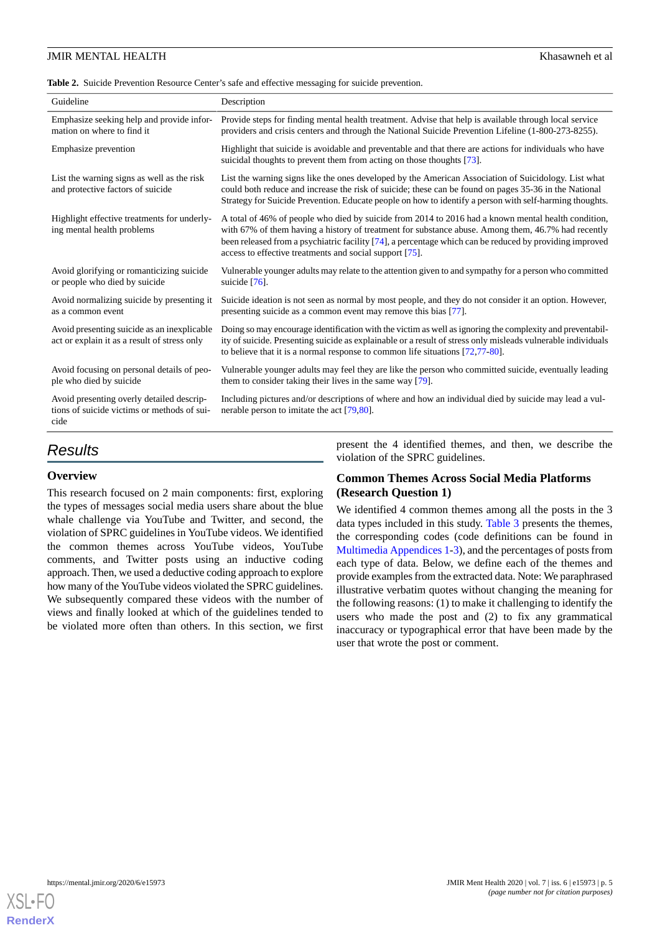#### <span id="page-4-0"></span>**Table 2.** Suicide Prevention Resource Center's safe and effective messaging for suicide prevention.

| Guideline                                                                                        | Description                                                                                                                                                                                                                                                                                                                                                                     |
|--------------------------------------------------------------------------------------------------|---------------------------------------------------------------------------------------------------------------------------------------------------------------------------------------------------------------------------------------------------------------------------------------------------------------------------------------------------------------------------------|
| Emphasize seeking help and provide infor-<br>mation on where to find it                          | Provide steps for finding mental health treatment. Advise that help is available through local service<br>providers and crisis centers and through the National Suicide Prevention Lifeline (1-800-273-8255).                                                                                                                                                                   |
| Emphasize prevention                                                                             | Highlight that suicide is avoidable and preventable and that there are actions for individuals who have<br>suicidal thoughts to prevent them from acting on those thoughts [73].                                                                                                                                                                                                |
| List the warning signs as well as the risk<br>and protective factors of suicide                  | List the warning signs like the ones developed by the American Association of Suicidology. List what<br>could both reduce and increase the risk of suicide; these can be found on pages 35-36 in the National<br>Strategy for Suicide Prevention. Educate people on how to identify a person with self-harming thoughts.                                                        |
| Highlight effective treatments for underly-<br>ing mental health problems                        | A total of 46% of people who died by suicide from 2014 to 2016 had a known mental health condition,<br>with 67% of them having a history of treatment for substance abuse. Among them, 46.7% had recently<br>been released from a psychiatric facility [74], a percentage which can be reduced by providing improved<br>access to effective treatments and social support [75]. |
| Avoid glorifying or romanticizing suicide<br>or people who died by suicide                       | Vulnerable younger adults may relate to the attention given to and sympathy for a person who committed<br>suicide $[76]$ .                                                                                                                                                                                                                                                      |
| Avoid normalizing suicide by presenting it.<br>as a common event                                 | Suicide ideation is not seen as normal by most people, and they do not consider it an option. However,<br>presenting suicide as a common event may remove this bias [77].                                                                                                                                                                                                       |
| Avoid presenting suicide as an inexplicable.<br>act or explain it as a result of stress only     | Doing so may encourage identification with the victim as well as ignoring the complexity and preventabil-<br>ity of suicide. Presenting suicide as explainable or a result of stress only misleads vulnerable individuals<br>to believe that it is a normal response to common life situations [72,77-80].                                                                      |
| Avoid focusing on personal details of peo-<br>ple who died by suicide                            | Vulnerable younger adults may feel they are like the person who committed suicide, eventually leading<br>them to consider taking their lives in the same way [79].                                                                                                                                                                                                              |
| Avoid presenting overly detailed descrip-<br>tions of suicide victims or methods of sui-<br>cide | Including pictures and/or descriptions of where and how an individual died by suicide may lead a vul-<br>nerable person to imitate the act $[79,80]$ .                                                                                                                                                                                                                          |
|                                                                                                  |                                                                                                                                                                                                                                                                                                                                                                                 |

# *Results*

#### **Overview**

This research focused on 2 main components: first, exploring the types of messages social media users share about the blue whale challenge via YouTube and Twitter, and second, the violation of SPRC guidelines in YouTube videos. We identified the common themes across YouTube videos, YouTube comments, and Twitter posts using an inductive coding approach. Then, we used a deductive coding approach to explore how many of the YouTube videos violated the SPRC guidelines. We subsequently compared these videos with the number of views and finally looked at which of the guidelines tended to be violated more often than others. In this section, we first

present the 4 identified themes, and then, we describe the violation of the SPRC guidelines.

# **Common Themes Across Social Media Platforms (Research Question 1)**

We identified 4 common themes among all the posts in the 3 data types included in this study. [Table 3](#page-5-0) presents the themes, the corresponding codes (code definitions can be found in [Multimedia Appendices 1-](#page-9-2)[3](#page-9-3)), and the percentages of posts from each type of data. Below, we define each of the themes and provide examples from the extracted data. Note: We paraphrased illustrative verbatim quotes without changing the meaning for the following reasons: (1) to make it challenging to identify the users who made the post and (2) to fix any grammatical inaccuracy or typographical error that have been made by the user that wrote the post or comment.

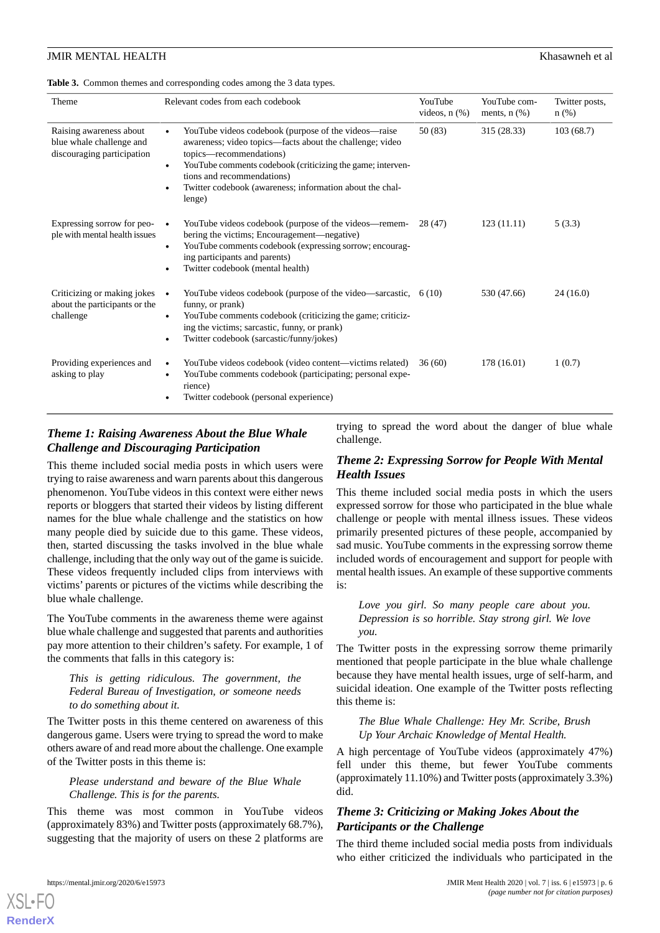<span id="page-5-0"></span>

| Table 3. Common themes and corresponding codes among the 3 data types. |  |
|------------------------------------------------------------------------|--|
|------------------------------------------------------------------------|--|

| Theme                                                                             | Relevant codes from each codebook                                                                                                                                                                                                                                                                                          | YouTube<br>videos, $n$ $(\%)$ | YouTube com-<br>ments, $n$ $(\%)$ | Twitter posts.<br>$n$ (%) |
|-----------------------------------------------------------------------------------|----------------------------------------------------------------------------------------------------------------------------------------------------------------------------------------------------------------------------------------------------------------------------------------------------------------------------|-------------------------------|-----------------------------------|---------------------------|
| Raising awareness about<br>blue whale challenge and<br>discouraging participation | YouTube videos codebook (purpose of the videos—raise<br>awareness; video topics—facts about the challenge; video<br>topics—recommendations)<br>YouTube comments codebook (criticizing the game; interven-<br>$\bullet$<br>tions and recommendations)<br>Twitter codebook (awareness; information about the chal-<br>lenge) | 50 (83)                       | 315 (28.33)                       | 103(68.7)                 |
| Expressing sorrow for peo-<br>ple with mental health issues                       | YouTube videos codebook (purpose of the videos—remem-<br>bering the victims; Encouragement—negative)<br>YouTube comments codebook (expressing sorrow; encourag-<br>$\bullet$<br>ing participants and parents)<br>Twitter codebook (mental health)                                                                          | 28 (47)                       | 123(11.11)                        | 5(3.3)                    |
| Criticizing or making jokes<br>about the participants or the<br>challenge         | YouTube videos codebook (purpose of the video—sarcastic, $6(10)$<br>$\bullet$<br>funny, or prank)<br>YouTube comments codebook (criticizing the game; criticiz-<br>ing the victims; sarcastic, funny, or prank)<br>Twitter codebook (sarcastic/funny/jokes)                                                                |                               | 530 (47.66)                       | 24(16.0)                  |
| Providing experiences and<br>asking to play                                       | YouTube videos codebook (video content—victims related)<br>YouTube comments codebook (participating; personal expe-<br>rience)<br>Twitter codebook (personal experience)                                                                                                                                                   | 36(60)                        | 178 (16.01)                       | 1(0.7)                    |

# *Theme 1: Raising Awareness About the Blue Whale Challenge and Discouraging Participation*

This theme included social media posts in which users were trying to raise awareness and warn parents about this dangerous phenomenon. YouTube videos in this context were either news reports or bloggers that started their videos by listing different names for the blue whale challenge and the statistics on how many people died by suicide due to this game. These videos, then, started discussing the tasks involved in the blue whale challenge, including that the only way out of the game is suicide. These videos frequently included clips from interviews with victims' parents or pictures of the victims while describing the blue whale challenge.

The YouTube comments in the awareness theme were against blue whale challenge and suggested that parents and authorities pay more attention to their children's safety. For example, 1 of the comments that falls in this category is:

#### *This is getting ridiculous. The government, the Federal Bureau of Investigation, or someone needs to do something about it.*

The Twitter posts in this theme centered on awareness of this dangerous game. Users were trying to spread the word to make others aware of and read more about the challenge. One example of the Twitter posts in this theme is:

#### *Please understand and beware of the Blue Whale Challenge. This is for the parents.*

This theme was most common in YouTube videos (approximately 83%) and Twitter posts (approximately 68.7%), suggesting that the majority of users on these 2 platforms are trying to spread the word about the danger of blue whale challenge.

# *Theme 2: Expressing Sorrow for People With Mental Health Issues*

This theme included social media posts in which the users expressed sorrow for those who participated in the blue whale challenge or people with mental illness issues. These videos primarily presented pictures of these people, accompanied by sad music. YouTube comments in the expressing sorrow theme included words of encouragement and support for people with mental health issues. An example of these supportive comments is:

*Love you girl. So many people care about you. Depression is so horrible. Stay strong girl. We love you.*

The Twitter posts in the expressing sorrow theme primarily mentioned that people participate in the blue whale challenge because they have mental health issues, urge of self-harm, and suicidal ideation. One example of the Twitter posts reflecting this theme is:

*The Blue Whale Challenge: Hey Mr. Scribe, Brush Up Your Archaic Knowledge of Mental Health.*

A high percentage of YouTube videos (approximately 47%) fell under this theme, but fewer YouTube comments (approximately 11.10%) and Twitter posts (approximately 3.3%) did.

# *Theme 3: Criticizing or Making Jokes About the Participants or the Challenge*

The third theme included social media posts from individuals who either criticized the individuals who participated in the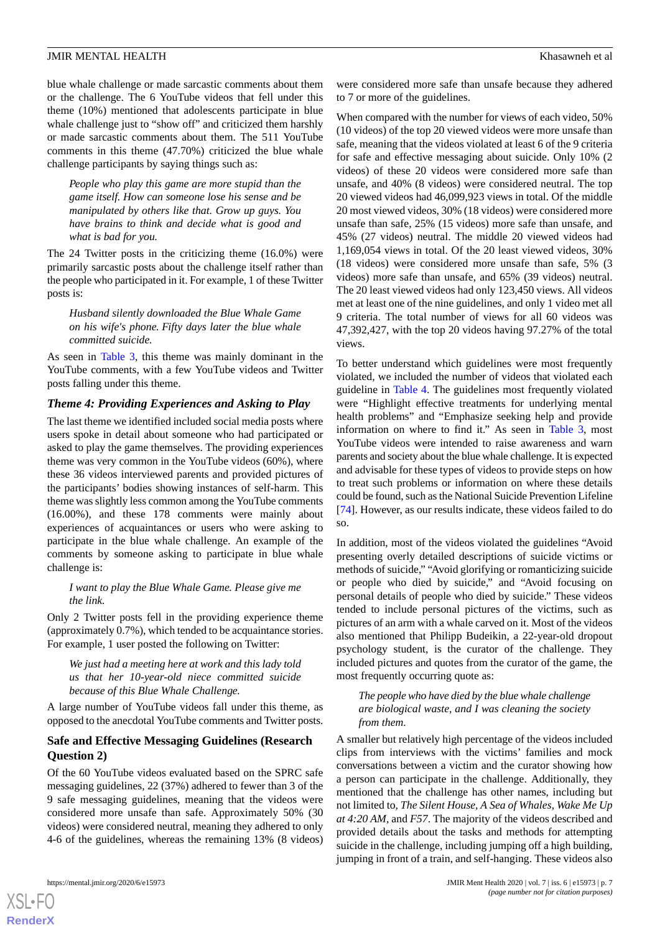blue whale challenge or made sarcastic comments about them or the challenge. The 6 YouTube videos that fell under this theme (10%) mentioned that adolescents participate in blue whale challenge just to "show off" and criticized them harshly or made sarcastic comments about them. The 511 YouTube comments in this theme (47.70%) criticized the blue whale challenge participants by saying things such as:

*People who play this game are more stupid than the game itself. How can someone lose his sense and be manipulated by others like that. Grow up guys. You have brains to think and decide what is good and what is bad for you.*

The 24 Twitter posts in the criticizing theme (16.0%) were primarily sarcastic posts about the challenge itself rather than the people who participated in it. For example, 1 of these Twitter posts is:

*Husband silently downloaded the Blue Whale Game on his wife's phone. Fifty days later the blue whale committed suicide.*

As seen in [Table 3,](#page-5-0) this theme was mainly dominant in the YouTube comments, with a few YouTube videos and Twitter posts falling under this theme.

# *Theme 4: Providing Experiences and Asking to Play*

The last theme we identified included social media posts where users spoke in detail about someone who had participated or asked to play the game themselves. The providing experiences theme was very common in the YouTube videos (60%), where these 36 videos interviewed parents and provided pictures of the participants' bodies showing instances of self-harm. This theme was slightly less common among the YouTube comments (16.00%), and these 178 comments were mainly about experiences of acquaintances or users who were asking to participate in the blue whale challenge. An example of the comments by someone asking to participate in blue whale challenge is:

#### *I want to play the Blue Whale Game. Please give me the link.*

Only 2 Twitter posts fell in the providing experience theme (approximately 0.7%), which tended to be acquaintance stories. For example, 1 user posted the following on Twitter:

*We just had a meeting here at work and this lady told us that her 10-year-old niece committed suicide because of this Blue Whale Challenge.*

A large number of YouTube videos fall under this theme, as opposed to the anecdotal YouTube comments and Twitter posts.

#### **Safe and Effective Messaging Guidelines (Research Question 2)**

Of the 60 YouTube videos evaluated based on the SPRC safe messaging guidelines, 22 (37%) adhered to fewer than 3 of the 9 safe messaging guidelines, meaning that the videos were considered more unsafe than safe. Approximately 50% (30 videos) were considered neutral, meaning they adhered to only 4-6 of the guidelines, whereas the remaining 13% (8 videos)

 $XS$  • FO **[RenderX](http://www.renderx.com/)** were considered more safe than unsafe because they adhered to 7 or more of the guidelines.

When compared with the number for views of each video, 50% (10 videos) of the top 20 viewed videos were more unsafe than safe, meaning that the videos violated at least 6 of the 9 criteria for safe and effective messaging about suicide. Only 10% (2 videos) of these 20 videos were considered more safe than unsafe, and 40% (8 videos) were considered neutral. The top 20 viewed videos had 46,099,923 views in total. Of the middle 20 most viewed videos, 30% (18 videos) were considered more unsafe than safe, 25% (15 videos) more safe than unsafe, and 45% (27 videos) neutral. The middle 20 viewed videos had 1,169,054 views in total. Of the 20 least viewed videos, 30% (18 videos) were considered more unsafe than safe, 5% (3 videos) more safe than unsafe, and 65% (39 videos) neutral. The 20 least viewed videos had only 123,450 views. All videos met at least one of the nine guidelines, and only 1 video met all 9 criteria. The total number of views for all 60 videos was 47,392,427, with the top 20 videos having 97.27% of the total views.

To better understand which guidelines were most frequently violated, we included the number of videos that violated each guideline in [Table 4](#page-7-0). The guidelines most frequently violated were "Highlight effective treatments for underlying mental health problems" and "Emphasize seeking help and provide information on where to find it." As seen in [Table 3,](#page-5-0) most YouTube videos were intended to raise awareness and warn parents and society about the blue whale challenge. It is expected and advisable for these types of videos to provide steps on how to treat such problems or information on where these details could be found, such as the National Suicide Prevention Lifeline [[74\]](#page-12-20). However, as our results indicate, these videos failed to do so.

In addition, most of the videos violated the guidelines "Avoid presenting overly detailed descriptions of suicide victims or methods of suicide," "Avoid glorifying or romanticizing suicide or people who died by suicide," and "Avoid focusing on personal details of people who died by suicide." These videos tended to include personal pictures of the victims, such as pictures of an arm with a whale carved on it. Most of the videos also mentioned that Philipp Budeikin, a 22-year-old dropout psychology student, is the curator of the challenge. They included pictures and quotes from the curator of the game, the most frequently occurring quote as:

*The people who have died by the blue whale challenge are biological waste, and I was cleaning the society from them.*

A smaller but relatively high percentage of the videos included clips from interviews with the victims' families and mock conversations between a victim and the curator showing how a person can participate in the challenge. Additionally, they mentioned that the challenge has other names, including but not limited to, *The Silent House, A Sea of Whales, Wake Me Up at 4:20 AM,* and *F57*. The majority of the videos described and provided details about the tasks and methods for attempting suicide in the challenge, including jumping off a high building, jumping in front of a train, and self-hanging. These videos also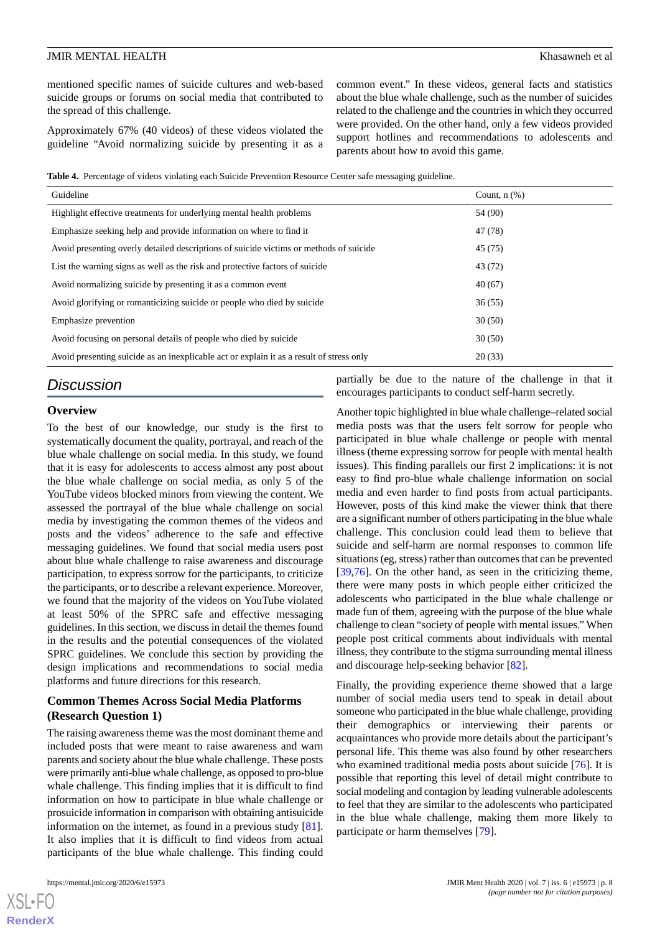mentioned specific names of suicide cultures and web-based suicide groups or forums on social media that contributed to the spread of this challenge.

Approximately 67% (40 videos) of these videos violated the guideline "Avoid normalizing suicide by presenting it as a common event." In these videos, general facts and statistics about the blue whale challenge, such as the number of suicides related to the challenge and the countries in which they occurred were provided. On the other hand, only a few videos provided support hotlines and recommendations to adolescents and parents about how to avoid this game.

<span id="page-7-0"></span>**Table 4.** Percentage of videos violating each Suicide Prevention Resource Center safe messaging guideline.

| Guideline                                                                                | Count, $n$ $(\%)$ |
|------------------------------------------------------------------------------------------|-------------------|
| Highlight effective treatments for underlying mental health problems                     | 54 (90)           |
| Emphasize seeking help and provide information on where to find it                       | 47 (78)           |
| Avoid presenting overly detailed descriptions of suicide victims or methods of suicide   | 45(75)            |
| List the warning signs as well as the risk and protective factors of suicide             | 43 (72)           |
| Avoid normalizing suicide by presenting it as a common event                             | 40(67)            |
| Avoid glorifying or romanticizing suicide or people who died by suicide                  | 36(55)            |
| Emphasize prevention                                                                     | 30(50)            |
| Avoid focusing on personal details of people who died by suicide                         | 30(50)            |
| Avoid presenting suicide as an inexplicable act or explain it as a result of stress only | 20(33)            |

# *Discussion*

#### **Overview**

To the best of our knowledge, our study is the first to systematically document the quality, portrayal, and reach of the blue whale challenge on social media. In this study, we found that it is easy for adolescents to access almost any post about the blue whale challenge on social media, as only 5 of the YouTube videos blocked minors from viewing the content. We assessed the portrayal of the blue whale challenge on social media by investigating the common themes of the videos and posts and the videos' adherence to the safe and effective messaging guidelines. We found that social media users post about blue whale challenge to raise awareness and discourage participation, to express sorrow for the participants, to criticize the participants, or to describe a relevant experience. Moreover, we found that the majority of the videos on YouTube violated at least 50% of the SPRC safe and effective messaging guidelines. In this section, we discuss in detail the themes found in the results and the potential consequences of the violated SPRC guidelines. We conclude this section by providing the design implications and recommendations to social media platforms and future directions for this research.

#### **Common Themes Across Social Media Platforms (Research Question 1)**

The raising awareness theme was the most dominant theme and included posts that were meant to raise awareness and warn parents and society about the blue whale challenge. These posts were primarily anti-blue whale challenge, as opposed to pro-blue whale challenge. This finding implies that it is difficult to find information on how to participate in blue whale challenge or prosuicide information in comparison with obtaining antisuicide information on the internet, as found in a previous study [[81\]](#page-13-2). It also implies that it is difficult to find videos from actual participants of the blue whale challenge. This finding could

 $XS$  • FO **[RenderX](http://www.renderx.com/)** partially be due to the nature of the challenge in that it encourages participants to conduct self-harm secretly.

Another topic highlighted in blue whale challenge–related social media posts was that the users felt sorrow for people who participated in blue whale challenge or people with mental illness (theme expressing sorrow for people with mental health issues). This finding parallels our first 2 implications: it is not easy to find pro-blue whale challenge information on social media and even harder to find posts from actual participants. However, posts of this kind make the viewer think that there are a significant number of others participating in the blue whale challenge. This conclusion could lead them to believe that suicide and self-harm are normal responses to common life situations (eg, stress) rather than outcomes that can be prevented [[39,](#page-11-11)[76\]](#page-12-22). On the other hand, as seen in the criticizing theme, there were many posts in which people either criticized the adolescents who participated in the blue whale challenge or made fun of them, agreeing with the purpose of the blue whale challenge to clean "society of people with mental issues." When people post critical comments about individuals with mental illness, they contribute to the stigma surrounding mental illness and discourage help-seeking behavior [[82\]](#page-13-3).

Finally, the providing experience theme showed that a large number of social media users tend to speak in detail about someone who participated in the blue whale challenge, providing their demographics or interviewing their parents or acquaintances who provide more details about the participant's personal life. This theme was also found by other researchers who examined traditional media posts about suicide [[76\]](#page-12-22). It is possible that reporting this level of detail might contribute to social modeling and contagion by leading vulnerable adolescents to feel that they are similar to the adolescents who participated in the blue whale challenge, making them more likely to participate or harm themselves [\[79](#page-13-1)].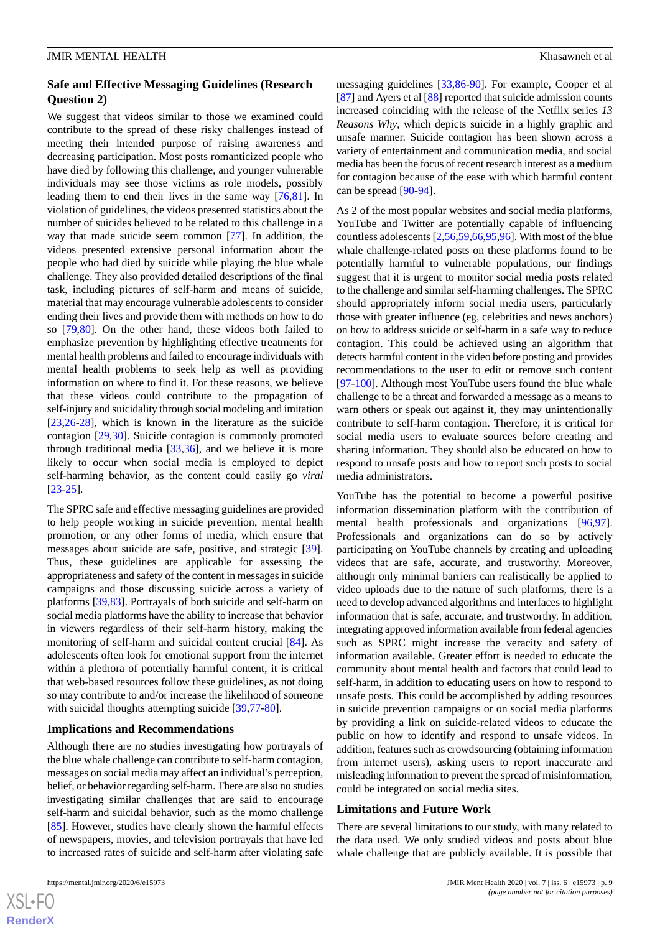# **Safe and Effective Messaging Guidelines (Research Question 2)**

We suggest that videos similar to those we examined could contribute to the spread of these risky challenges instead of meeting their intended purpose of raising awareness and decreasing participation. Most posts romanticized people who have died by following this challenge, and younger vulnerable individuals may see those victims as role models, possibly leading them to end their lives in the same way [\[76](#page-12-22),[81\]](#page-13-2). In violation of guidelines, the videos presented statistics about the number of suicides believed to be related to this challenge in a way that made suicide seem common [[77\]](#page-12-23). In addition, the videos presented extensive personal information about the people who had died by suicide while playing the blue whale challenge. They also provided detailed descriptions of the final task, including pictures of self-harm and means of suicide, material that may encourage vulnerable adolescents to consider ending their lives and provide them with methods on how to do so [\[79](#page-13-1),[80\]](#page-13-0). On the other hand, these videos both failed to emphasize prevention by highlighting effective treatments for mental health problems and failed to encourage individuals with mental health problems to seek help as well as providing information on where to find it. For these reasons, we believe that these videos could contribute to the propagation of self-injury and suicidality through social modeling and imitation [[23](#page-10-13)[,26](#page-10-15)-[28\]](#page-11-0), which is known in the literature as the suicide contagion [[29](#page-11-1)[,30](#page-11-2)]. Suicide contagion is commonly promoted through traditional media  $[33,36]$  $[33,36]$  $[33,36]$  $[33,36]$ , and we believe it is more likely to occur when social media is employed to depict self-harming behavior, as the content could easily go *viral* [[23](#page-10-13)[-25](#page-10-14)].

The SPRC safe and effective messaging guidelines are provided to help people working in suicide prevention, mental health promotion, or any other forms of media, which ensure that messages about suicide are safe, positive, and strategic [[39\]](#page-11-11). Thus, these guidelines are applicable for assessing the appropriateness and safety of the content in messages in suicide campaigns and those discussing suicide across a variety of platforms [[39](#page-11-11)[,83](#page-13-4)]. Portrayals of both suicide and self-harm on social media platforms have the ability to increase that behavior in viewers regardless of their self-harm history, making the monitoring of self-harm and suicidal content crucial [[84\]](#page-13-5). As adolescents often look for emotional support from the internet within a plethora of potentially harmful content, it is critical that web-based resources follow these guidelines, as not doing so may contribute to and/or increase the likelihood of someone with suicidal thoughts attempting suicide [[39](#page-11-11)[,77](#page-12-23)-[80\]](#page-13-0).

#### **Implications and Recommendations**

Although there are no studies investigating how portrayals of the blue whale challenge can contribute to self-harm contagion, messages on social media may affect an individual's perception, belief, or behavior regarding self-harm. There are also no studies investigating similar challenges that are said to encourage self-harm and suicidal behavior, such as the momo challenge [[85\]](#page-13-6). However, studies have clearly shown the harmful effects of newspapers, movies, and television portrayals that have led to increased rates of suicide and self-harm after violating safe

 $XS$  $\cdot$ FC **[RenderX](http://www.renderx.com/)** messaging guidelines [[33](#page-11-5)[,86](#page-13-7)-[90\]](#page-13-8). For example, Cooper et al [[87\]](#page-13-9) and Ayers et al [[88\]](#page-13-10) reported that suicide admission counts increased coinciding with the release of the Netflix series *13 Reasons Why*, which depicts suicide in a highly graphic and unsafe manner. Suicide contagion has been shown across a variety of entertainment and communication media, and social media has been the focus of recent research interest as a medium for contagion because of the ease with which harmful content can be spread [[90](#page-13-8)[-94](#page-13-11)].

As 2 of the most popular websites and social media platforms, YouTube and Twitter are potentially capable of influencing countless adolescents [[2,](#page-9-1)[56](#page-12-3),[59,](#page-12-6)[66](#page-12-12)[,95](#page-13-12),[96\]](#page-13-13). With most of the blue whale challenge-related posts on these platforms found to be potentially harmful to vulnerable populations, our findings suggest that it is urgent to monitor social media posts related to the challenge and similar self-harming challenges. The SPRC should appropriately inform social media users, particularly those with greater influence (eg, celebrities and news anchors) on how to address suicide or self-harm in a safe way to reduce contagion. This could be achieved using an algorithm that detects harmful content in the video before posting and provides recommendations to the user to edit or remove such content [[97](#page-13-14)[-100](#page-13-15)]. Although most YouTube users found the blue whale challenge to be a threat and forwarded a message as a means to warn others or speak out against it, they may unintentionally contribute to self-harm contagion. Therefore, it is critical for social media users to evaluate sources before creating and sharing information. They should also be educated on how to respond to unsafe posts and how to report such posts to social media administrators.

YouTube has the potential to become a powerful positive information dissemination platform with the contribution of mental health professionals and organizations [\[96](#page-13-13),[97\]](#page-13-14). Professionals and organizations can do so by actively participating on YouTube channels by creating and uploading videos that are safe, accurate, and trustworthy. Moreover, although only minimal barriers can realistically be applied to video uploads due to the nature of such platforms, there is a need to develop advanced algorithms and interfaces to highlight information that is safe, accurate, and trustworthy. In addition, integrating approved information available from federal agencies such as SPRC might increase the veracity and safety of information available. Greater effort is needed to educate the community about mental health and factors that could lead to self-harm, in addition to educating users on how to respond to unsafe posts. This could be accomplished by adding resources in suicide prevention campaigns or on social media platforms by providing a link on suicide-related videos to educate the public on how to identify and respond to unsafe videos. In addition, features such as crowdsourcing (obtaining information from internet users), asking users to report inaccurate and misleading information to prevent the spread of misinformation, could be integrated on social media sites.

#### **Limitations and Future Work**

There are several limitations to our study, with many related to the data used. We only studied videos and posts about blue whale challenge that are publicly available. It is possible that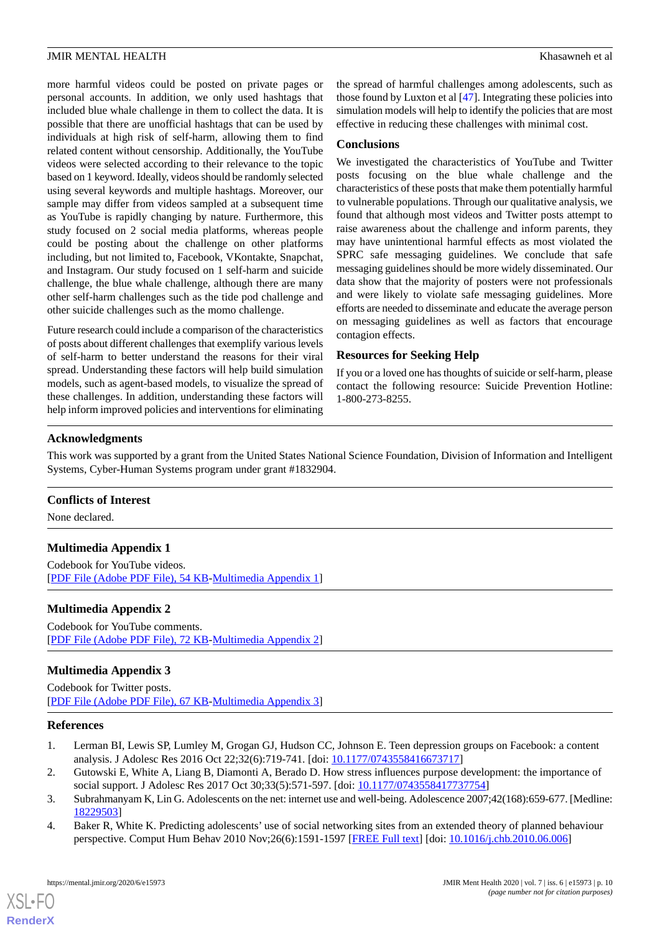more harmful videos could be posted on private pages or personal accounts. In addition, we only used hashtags that included blue whale challenge in them to collect the data. It is possible that there are unofficial hashtags that can be used by individuals at high risk of self-harm, allowing them to find related content without censorship. Additionally, the YouTube videos were selected according to their relevance to the topic based on 1 keyword. Ideally, videos should be randomly selected using several keywords and multiple hashtags. Moreover, our sample may differ from videos sampled at a subsequent time as YouTube is rapidly changing by nature. Furthermore, this study focused on 2 social media platforms, whereas people could be posting about the challenge on other platforms including, but not limited to, Facebook, VKontakte, Snapchat, and Instagram. Our study focused on 1 self-harm and suicide challenge, the blue whale challenge, although there are many other self-harm challenges such as the tide pod challenge and other suicide challenges such as the momo challenge.

Future research could include a comparison of the characteristics of posts about different challenges that exemplify various levels of self-harm to better understand the reasons for their viral spread. Understanding these factors will help build simulation models, such as agent-based models, to visualize the spread of these challenges. In addition, understanding these factors will help inform improved policies and interventions for eliminating

the spread of harmful challenges among adolescents, such as those found by Luxton et al [[47\]](#page-11-18). Integrating these policies into simulation models will help to identify the policies that are most effective in reducing these challenges with minimal cost.

#### **Conclusions**

We investigated the characteristics of YouTube and Twitter posts focusing on the blue whale challenge and the characteristics of these posts that make them potentially harmful to vulnerable populations. Through our qualitative analysis, we found that although most videos and Twitter posts attempt to raise awareness about the challenge and inform parents, they may have unintentional harmful effects as most violated the SPRC safe messaging guidelines. We conclude that safe messaging guidelines should be more widely disseminated. Our data show that the majority of posters were not professionals and were likely to violate safe messaging guidelines. More efforts are needed to disseminate and educate the average person on messaging guidelines as well as factors that encourage contagion effects.

#### **Resources for Seeking Help**

If you or a loved one has thoughts of suicide or self-harm, please contact the following resource: Suicide Prevention Hotline: 1-800-273-8255.

#### **Acknowledgments**

This work was supported by a grant from the United States National Science Foundation, Division of Information and Intelligent Systems, Cyber-Human Systems program under grant #1832904.

#### <span id="page-9-2"></span>**Conflicts of Interest**

None declared.

# **Multimedia Appendix 1**

Codebook for YouTube videos. [[PDF File \(Adobe PDF File\), 54 KB](https://jmir.org/api/download?alt_name=mental_v7i6e15973_app1.pdf&filename=97ecd47b571a2e84282cc41bb70f8ff2.pdf)-[Multimedia Appendix 1\]](https://jmir.org/api/download?alt_name=mental_v7i6e15973_app1.pdf&filename=97ecd47b571a2e84282cc41bb70f8ff2.pdf)

#### <span id="page-9-3"></span>**Multimedia Appendix 2**

Codebook for YouTube comments. [[PDF File \(Adobe PDF File\), 72 KB](https://jmir.org/api/download?alt_name=mental_v7i6e15973_app2.pdf&filename=5c63c1171934e7faa4074a3e0274b80e.pdf)-[Multimedia Appendix 2\]](https://jmir.org/api/download?alt_name=mental_v7i6e15973_app2.pdf&filename=5c63c1171934e7faa4074a3e0274b80e.pdf)

#### <span id="page-9-0"></span>**Multimedia Appendix 3**

<span id="page-9-1"></span>Codebook for Twitter posts. [[PDF File \(Adobe PDF File\), 67 KB](https://jmir.org/api/download?alt_name=mental_v7i6e15973_app3.pdf&filename=1ea8b7a1b42caceeec93d0950ba03e7a.pdf)-[Multimedia Appendix 3\]](https://jmir.org/api/download?alt_name=mental_v7i6e15973_app3.pdf&filename=1ea8b7a1b42caceeec93d0950ba03e7a.pdf)

#### **References**

- 1. Lerman BI, Lewis SP, Lumley M, Grogan GJ, Hudson CC, Johnson E. Teen depression groups on Facebook: a content analysis. J Adolesc Res 2016 Oct 22;32(6):719-741. [doi: [10.1177/0743558416673717\]](http://dx.doi.org/10.1177/0743558416673717)
- 2. Gutowski E, White A, Liang B, Diamonti A, Berado D. How stress influences purpose development: the importance of social support. J Adolesc Res 2017 Oct 30;33(5):571-597. [doi: [10.1177/0743558417737754](http://dx.doi.org/10.1177/0743558417737754)]
- 3. Subrahmanyam K, Lin G. Adolescents on the net: internet use and well-being. Adolescence 2007;42(168):659-677. [Medline: [18229503](http://www.ncbi.nlm.nih.gov/entrez/query.fcgi?cmd=Retrieve&db=PubMed&list_uids=18229503&dopt=Abstract)]
- 4. Baker R, White K. Predicting adolescents' use of social networking sites from an extended theory of planned behaviour perspective. Comput Hum Behav 2010 Nov;26(6):1591-1597 [[FREE Full text](https://www.sciencedirect.com/science/article/pii/S0747563210001780)] [doi: [10.1016/j.chb.2010.06.006](http://dx.doi.org/10.1016/j.chb.2010.06.006)]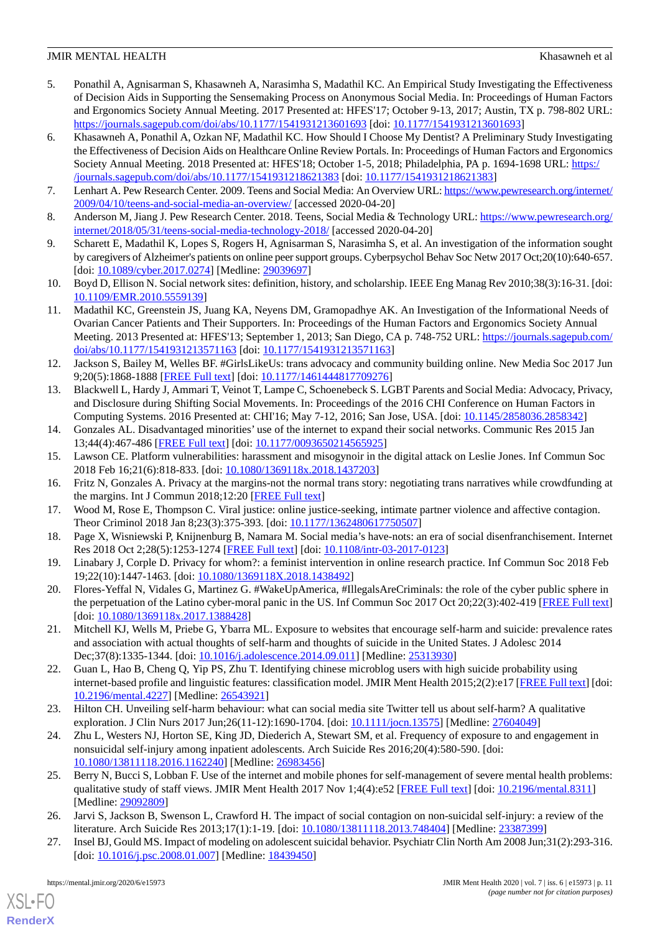- 5. Ponathil A, Agnisarman S, Khasawneh A, Narasimha S, Madathil KC. An Empirical Study Investigating the Effectiveness of Decision Aids in Supporting the Sensemaking Process on Anonymous Social Media. In: Proceedings of Human Factors and Ergonomics Society Annual Meeting. 2017 Presented at: HFES'17; October 9-13, 2017; Austin, TX p. 798-802 URL: <https://journals.sagepub.com/doi/abs/10.1177/1541931213601693> [doi: [10.1177/1541931213601693](http://dx.doi.org/10.1177/1541931213601693)]
- <span id="page-10-0"></span>6. Khasawneh A, Ponathil A, Ozkan NF, Madathil KC. How Should I Choose My Dentist? A Preliminary Study Investigating the Effectiveness of Decision Aids on Healthcare Online Review Portals. In: Proceedings of Human Factors and Ergonomics Society Annual Meeting. 2018 Presented at: HFES'18; October 1-5, 2018; Philadelphia, PA p. 1694-1698 URL: [https:/](https://journals.sagepub.com/doi/abs/10.1177/1541931218621383) [/journals.sagepub.com/doi/abs/10.1177/1541931218621383](https://journals.sagepub.com/doi/abs/10.1177/1541931218621383) [doi: [10.1177/1541931218621383](http://dx.doi.org/10.1177/1541931218621383)]
- <span id="page-10-1"></span>7. Lenhart A. Pew Research Center. 2009. Teens and Social Media: An Overview URL: [https://www.pewresearch.org/internet/](https://www.pewresearch.org/internet/2009/04/10/teens-and-social-media-an-overview/) [2009/04/10/teens-and-social-media-an-overview/](https://www.pewresearch.org/internet/2009/04/10/teens-and-social-media-an-overview/) [accessed 2020-04-20]
- <span id="page-10-2"></span>8. Anderson M, Jiang J. Pew Research Center. 2018. Teens, Social Media & Technology URL: [https://www.pewresearch.org/](https://www.pewresearch.org/internet/2018/05/31/teens-social-media-technology-2018/) [internet/2018/05/31/teens-social-media-technology-2018/](https://www.pewresearch.org/internet/2018/05/31/teens-social-media-technology-2018/) [accessed 2020-04-20]
- 9. Scharett E, Madathil K, Lopes S, Rogers H, Agnisarman S, Narasimha S, et al. An investigation of the information sought by caregivers of Alzheimer's patients on online peer support groups. Cyberpsychol Behav Soc Netw 2017 Oct;20(10):640-657. [doi: [10.1089/cyber.2017.0274\]](http://dx.doi.org/10.1089/cyber.2017.0274) [Medline: [29039697\]](http://www.ncbi.nlm.nih.gov/entrez/query.fcgi?cmd=Retrieve&db=PubMed&list_uids=29039697&dopt=Abstract)
- <span id="page-10-3"></span>10. Boyd D, Ellison N. Social network sites: definition, history, and scholarship. IEEE Eng Manag Rev 2010;38(3):16-31. [doi: [10.1109/EMR.2010.5559139\]](http://dx.doi.org/10.1109/EMR.2010.5559139)
- <span id="page-10-4"></span>11. Madathil KC, Greenstein JS, Juang KA, Neyens DM, Gramopadhye AK. An Investigation of the Informational Needs of Ovarian Cancer Patients and Their Supporters. In: Proceedings of the Human Factors and Ergonomics Society Annual Meeting. 2013 Presented at: HFES'13; September 1, 2013; San Diego, CA p. 748-752 URL: [https://journals.sagepub.com/](https://journals.sagepub.com/doi/abs/10.1177/1541931213571163) [doi/abs/10.1177/1541931213571163](https://journals.sagepub.com/doi/abs/10.1177/1541931213571163) [doi: [10.1177/1541931213571163\]](http://dx.doi.org/10.1177/1541931213571163)
- 12. Jackson S, Bailey M, Welles BF. #GirlsLikeUs: trans advocacy and community building online. New Media Soc 2017 Jun 9;20(5):1868-1888 [[FREE Full text](http://journals.sagepub.com/doi/abs/10.1177/1461444817709276)] [doi: [10.1177/1461444817709276\]](http://dx.doi.org/10.1177/1461444817709276)
- <span id="page-10-5"></span>13. Blackwell L, Hardy J, Ammari T, Veinot T, Lampe C, Schoenebeck S. LGBT Parents and Social Media: Advocacy, Privacy, and Disclosure during Shifting Social Movements. In: Proceedings of the 2016 CHI Conference on Human Factors in Computing Systems. 2016 Presented at: CHI'16; May 7-12, 2016; San Jose, USA. [doi: [10.1145/2858036.2858342](http://dx.doi.org/10.1145/2858036.2858342)]
- <span id="page-10-7"></span><span id="page-10-6"></span>14. Gonzales AL. Disadvantaged minorities' use of the internet to expand their social networks. Communic Res 2015 Jan 13;44(4):467-486 [[FREE Full text](http://journals.sagepub.com/doi/abs/10.1177/0093650214565925)] [doi: [10.1177/0093650214565925\]](http://dx.doi.org/10.1177/0093650214565925)
- <span id="page-10-8"></span>15. Lawson CE. Platform vulnerabilities: harassment and misogynoir in the digital attack on Leslie Jones. Inf Commun Soc 2018 Feb 16;21(6):818-833. [doi: [10.1080/1369118x.2018.1437203\]](http://dx.doi.org/10.1080/1369118x.2018.1437203)
- <span id="page-10-9"></span>16. Fritz N, Gonzales A. Privacy at the margins-not the normal trans story: negotiating trans narratives while crowdfunding at the margins. Int J Commun 2018;12:20 [\[FREE Full text\]](http://ijoc.org/index.php/ijoc/article/view/7049)
- 17. Wood M, Rose E, Thompson C. Viral justice: online justice-seeking, intimate partner violence and affective contagion. Theor Criminol 2018 Jan 8;23(3):375-393. [doi: [10.1177/1362480617750507](http://dx.doi.org/10.1177/1362480617750507)]
- <span id="page-10-10"></span>18. Page X, Wisniewski P, Knijnenburg B, Namara M. Social media's have-nots: an era of social disenfranchisement. Internet Res 2018 Oct 2;28(5):1253-1274 [[FREE Full text](https://www.emeraldinsight.com/doi/abs/10.1108/IntR-03-2017-0123)] [doi: [10.1108/intr-03-2017-0123](http://dx.doi.org/10.1108/intr-03-2017-0123)]
- <span id="page-10-11"></span>19. Linabary J, Corple D. Privacy for whom?: a feminist intervention in online research practice. Inf Commun Soc 2018 Feb 19;22(10):1447-1463. [doi: [10.1080/1369118X.2018.1438492\]](http://dx.doi.org/10.1080/1369118X.2018.1438492)
- <span id="page-10-12"></span>20. Flores-Yeffal N, Vidales G, Martinez G. #WakeUpAmerica, #IllegalsAreCriminals: the role of the cyber public sphere in the perpetuation of the Latino cyber-moral panic in the US. Inf Commun Soc 2017 Oct 20;22(3):402-419 [[FREE Full text](https://www.tandfonline.com/doi/abs/10.1080/1369118X.2017.1388428)] [doi: [10.1080/1369118x.2017.1388428](http://dx.doi.org/10.1080/1369118x.2017.1388428)]
- <span id="page-10-13"></span>21. Mitchell KJ, Wells M, Priebe G, Ybarra ML. Exposure to websites that encourage self-harm and suicide: prevalence rates and association with actual thoughts of self-harm and thoughts of suicide in the United States. J Adolesc 2014 Dec; 37(8): 1335-1344. [doi: 10.1016/j.adolescence. 2014.09.011] [Medline: [25313930\]](http://www.ncbi.nlm.nih.gov/entrez/query.fcgi?cmd=Retrieve&db=PubMed&list_uids=25313930&dopt=Abstract)
- <span id="page-10-17"></span>22. Guan L, Hao B, Cheng Q, Yip PS, Zhu T. Identifying chinese microblog users with high suicide probability using internet-based profile and linguistic features: classification model. JMIR Ment Health 2015;2(2):e17 [[FREE Full text](https://mental.jmir.org/2015/2/e17/)] [doi: [10.2196/mental.4227\]](http://dx.doi.org/10.2196/mental.4227) [Medline: [26543921](http://www.ncbi.nlm.nih.gov/entrez/query.fcgi?cmd=Retrieve&db=PubMed&list_uids=26543921&dopt=Abstract)]
- <span id="page-10-14"></span>23. Hilton CH. Unveiling self-harm behaviour: what can social media site Twitter tell us about self-harm? A qualitative exploration. J Clin Nurs 2017 Jun;26(11-12):1690-1704. [doi: [10.1111/jocn.13575\]](http://dx.doi.org/10.1111/jocn.13575) [Medline: [27604049](http://www.ncbi.nlm.nih.gov/entrez/query.fcgi?cmd=Retrieve&db=PubMed&list_uids=27604049&dopt=Abstract)]
- <span id="page-10-15"></span>24. Zhu L, Westers NJ, Horton SE, King JD, Diederich A, Stewart SM, et al. Frequency of exposure to and engagement in nonsuicidal self-injury among inpatient adolescents. Arch Suicide Res 2016;20(4):580-590. [doi: [10.1080/13811118.2016.1162240\]](http://dx.doi.org/10.1080/13811118.2016.1162240) [Medline: [26983456\]](http://www.ncbi.nlm.nih.gov/entrez/query.fcgi?cmd=Retrieve&db=PubMed&list_uids=26983456&dopt=Abstract)
- <span id="page-10-16"></span>25. Berry N, Bucci S, Lobban F. Use of the internet and mobile phones for self-management of severe mental health problems: qualitative study of staff views. JMIR Ment Health 2017 Nov 1;4(4):e52 [[FREE Full text\]](https://mental.jmir.org/2017/4/e52/) [doi: [10.2196/mental.8311](http://dx.doi.org/10.2196/mental.8311)] [Medline: [29092809](http://www.ncbi.nlm.nih.gov/entrez/query.fcgi?cmd=Retrieve&db=PubMed&list_uids=29092809&dopt=Abstract)]
- 26. Jarvi S, Jackson B, Swenson L, Crawford H. The impact of social contagion on non-suicidal self-injury: a review of the literature. Arch Suicide Res 2013;17(1):1-19. [doi: [10.1080/13811118.2013.748404](http://dx.doi.org/10.1080/13811118.2013.748404)] [Medline: [23387399](http://www.ncbi.nlm.nih.gov/entrez/query.fcgi?cmd=Retrieve&db=PubMed&list_uids=23387399&dopt=Abstract)]
- 27. Insel BJ, Gould MS. Impact of modeling on adolescent suicidal behavior. Psychiatr Clin North Am 2008 Jun;31(2):293-316. [doi: [10.1016/j.psc.2008.01.007](http://dx.doi.org/10.1016/j.psc.2008.01.007)] [Medline: [18439450](http://www.ncbi.nlm.nih.gov/entrez/query.fcgi?cmd=Retrieve&db=PubMed&list_uids=18439450&dopt=Abstract)]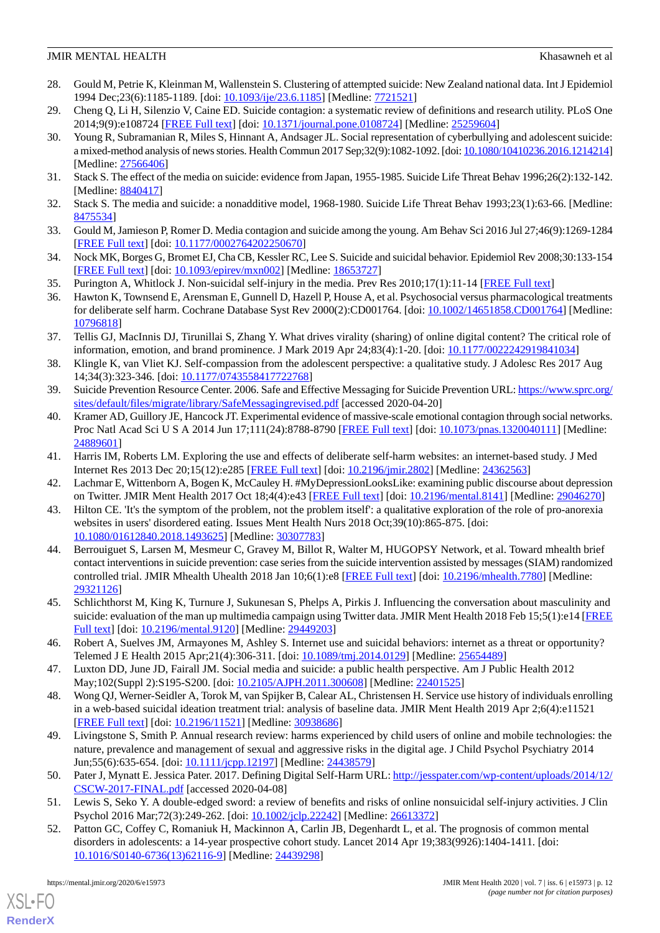- <span id="page-11-0"></span>28. Gould M, Petrie K, Kleinman M, Wallenstein S. Clustering of attempted suicide: New Zealand national data. Int J Epidemiol 1994 Dec;23(6):1185-1189. [doi: [10.1093/ije/23.6.1185](http://dx.doi.org/10.1093/ije/23.6.1185)] [Medline: [7721521\]](http://www.ncbi.nlm.nih.gov/entrez/query.fcgi?cmd=Retrieve&db=PubMed&list_uids=7721521&dopt=Abstract)
- <span id="page-11-2"></span><span id="page-11-1"></span>29. Cheng Q, Li H, Silenzio V, Caine ED. Suicide contagion: a systematic review of definitions and research utility. PLoS One 2014;9(9):e108724 [\[FREE Full text](http://dx.plos.org/10.1371/journal.pone.0108724)] [doi: [10.1371/journal.pone.0108724\]](http://dx.doi.org/10.1371/journal.pone.0108724) [Medline: [25259604\]](http://www.ncbi.nlm.nih.gov/entrez/query.fcgi?cmd=Retrieve&db=PubMed&list_uids=25259604&dopt=Abstract)
- 30. Young R, Subramanian R, Miles S, Hinnant A, Andsager JL. Social representation of cyberbullying and adolescent suicide: a mixed-method analysis of news stories. Health Commun 2017 Sep;32(9):1082-1092. [doi: [10.1080/10410236.2016.1214214\]](http://dx.doi.org/10.1080/10410236.2016.1214214) [Medline: [27566406](http://www.ncbi.nlm.nih.gov/entrez/query.fcgi?cmd=Retrieve&db=PubMed&list_uids=27566406&dopt=Abstract)]
- <span id="page-11-4"></span><span id="page-11-3"></span>31. Stack S. The effect of the media on suicide: evidence from Japan, 1955-1985. Suicide Life Threat Behav 1996;26(2):132-142. [Medline: [8840417\]](http://www.ncbi.nlm.nih.gov/entrez/query.fcgi?cmd=Retrieve&db=PubMed&list_uids=8840417&dopt=Abstract)
- <span id="page-11-5"></span>32. Stack S. The media and suicide: a nonadditive model, 1968-1980. Suicide Life Threat Behav 1993;23(1):63-66. [Medline: [8475534\]](http://www.ncbi.nlm.nih.gov/entrez/query.fcgi?cmd=Retrieve&db=PubMed&list_uids=8475534&dopt=Abstract)
- <span id="page-11-6"></span>33. Gould M, Jamieson P, Romer D. Media contagion and suicide among the young. Am Behav Sci 2016 Jul 27;46(9):1269-1284 [[FREE Full text](http://europepmc.org/abstract/MED/22973420)] [doi: [10.1177/0002764202250670\]](http://dx.doi.org/10.1177/0002764202250670)
- <span id="page-11-8"></span><span id="page-11-7"></span>34. Nock MK, Borges G, Bromet EJ, Cha CB, Kessler RC, Lee S. Suicide and suicidal behavior. Epidemiol Rev 2008;30:133-154 [[FREE Full text](http://europepmc.org/abstract/MED/18653727)] [doi: [10.1093/epirev/mxn002](http://dx.doi.org/10.1093/epirev/mxn002)] [Medline: [18653727\]](http://www.ncbi.nlm.nih.gov/entrez/query.fcgi?cmd=Retrieve&db=PubMed&list_uids=18653727&dopt=Abstract)
- 35. Purington A, Whitlock J. Non-suicidal self-injury in the media. Prev Res 2010;17(1):11-14 [\[FREE Full text\]](https://go.gale.com/ps/anonymous?id=GALE%7CA219010508&sid=googleScholar&v=2.1&it=r&linkaccess=abs&issn=10864385&p=AONE&sw=w)
- <span id="page-11-9"></span>36. Hawton K, Townsend E, Arensman E, Gunnell D, Hazell P, House A, et al. Psychosocial versus pharmacological treatments for deliberate self harm. Cochrane Database Syst Rev 2000(2):CD001764. [doi: [10.1002/14651858.CD001764\]](http://dx.doi.org/10.1002/14651858.CD001764) [Medline: [10796818](http://www.ncbi.nlm.nih.gov/entrez/query.fcgi?cmd=Retrieve&db=PubMed&list_uids=10796818&dopt=Abstract)]
- <span id="page-11-10"></span>37. Tellis GJ, MacInnis DJ, Tirunillai S, Zhang Y. What drives virality (sharing) of online digital content? The critical role of information, emotion, and brand prominence. J Mark 2019 Apr 24;83(4):1-20. [doi: [10.1177/0022242919841034](http://dx.doi.org/10.1177/0022242919841034)]
- <span id="page-11-12"></span><span id="page-11-11"></span>38. Klingle K, van Vliet KJ. Self-compassion from the adolescent perspective: a qualitative study. J Adolesc Res 2017 Aug 14;34(3):323-346. [doi: [10.1177/0743558417722768\]](http://dx.doi.org/10.1177/0743558417722768)
- 39. Suicide Prevention Resource Center. 2006. Safe and Effective Messaging for Suicide Prevention URL: [https://www.sprc.org/](https://www.sprc.org/sites/default/files/migrate/library/SafeMessagingrevised.pdf) [sites/default/files/migrate/library/SafeMessagingrevised.pdf](https://www.sprc.org/sites/default/files/migrate/library/SafeMessagingrevised.pdf) [accessed 2020-04-20]
- <span id="page-11-13"></span>40. Kramer AD, Guillory JE, Hancock JT. Experimental evidence of massive-scale emotional contagion through social networks. Proc Natl Acad Sci U S A 2014 Jun 17;111(24):8788-8790 [[FREE Full text](http://www.pnas.org/cgi/pmidlookup?view=long&pmid=24889601)] [doi: [10.1073/pnas.1320040111](http://dx.doi.org/10.1073/pnas.1320040111)] [Medline: [24889601](http://www.ncbi.nlm.nih.gov/entrez/query.fcgi?cmd=Retrieve&db=PubMed&list_uids=24889601&dopt=Abstract)]
- <span id="page-11-14"></span>41. Harris IM, Roberts LM. Exploring the use and effects of deliberate self-harm websites: an internet-based study. J Med Internet Res 2013 Dec 20;15(12):e285 [\[FREE Full text\]](https://www.jmir.org/2013/12/e285/) [doi: [10.2196/jmir.2802\]](http://dx.doi.org/10.2196/jmir.2802) [Medline: [24362563\]](http://www.ncbi.nlm.nih.gov/entrez/query.fcgi?cmd=Retrieve&db=PubMed&list_uids=24362563&dopt=Abstract)
- <span id="page-11-15"></span>42. Lachmar E, Wittenborn A, Bogen K, McCauley H. #MyDepressionLooksLike: examining public discourse about depression on Twitter. JMIR Ment Health 2017 Oct 18;4(4):e43 [\[FREE Full text](https://mental.jmir.org/2017/4/e43/)] [doi: [10.2196/mental.8141\]](http://dx.doi.org/10.2196/mental.8141) [Medline: [29046270](http://www.ncbi.nlm.nih.gov/entrez/query.fcgi?cmd=Retrieve&db=PubMed&list_uids=29046270&dopt=Abstract)]
- 43. Hilton CE. 'It's the symptom of the problem, not the problem itself': a qualitative exploration of the role of pro-anorexia websites in users' disordered eating. Issues Ment Health Nurs 2018 Oct;39(10):865-875. [doi: [10.1080/01612840.2018.1493625\]](http://dx.doi.org/10.1080/01612840.2018.1493625) [Medline: [30307783\]](http://www.ncbi.nlm.nih.gov/entrez/query.fcgi?cmd=Retrieve&db=PubMed&list_uids=30307783&dopt=Abstract)
- <span id="page-11-16"></span>44. Berrouiguet S, Larsen M, Mesmeur C, Gravey M, Billot R, Walter M, HUGOPSY Network, et al. Toward mhealth brief contact interventions in suicide prevention: case series from the suicide intervention assisted by messages (SIAM) randomized controlled trial. JMIR Mhealth Uhealth 2018 Jan 10;6(1):e8 [[FREE Full text](https://mhealth.jmir.org/2018/1/e8/)] [doi: [10.2196/mhealth.7780](http://dx.doi.org/10.2196/mhealth.7780)] [Medline: [29321126](http://www.ncbi.nlm.nih.gov/entrez/query.fcgi?cmd=Retrieve&db=PubMed&list_uids=29321126&dopt=Abstract)]
- <span id="page-11-18"></span><span id="page-11-17"></span>45. Schlichthorst M, King K, Turnure J, Sukunesan S, Phelps A, Pirkis J. Influencing the conversation about masculinity and suicide: evaluation of the man up multimedia campaign using Twitter data. JMIR Ment Health 2018 Feb 15;5(1):e14 [\[FREE](https://mental.jmir.org/2018/1/e14/) [Full text\]](https://mental.jmir.org/2018/1/e14/) [doi: [10.2196/mental.9120](http://dx.doi.org/10.2196/mental.9120)] [Medline: [29449203\]](http://www.ncbi.nlm.nih.gov/entrez/query.fcgi?cmd=Retrieve&db=PubMed&list_uids=29449203&dopt=Abstract)
- <span id="page-11-19"></span>46. Robert A, Suelves JM, Armayones M, Ashley S. Internet use and suicidal behaviors: internet as a threat or opportunity? Telemed J E Health 2015 Apr;21(4):306-311. [doi: [10.1089/tmj.2014.0129](http://dx.doi.org/10.1089/tmj.2014.0129)] [Medline: [25654489\]](http://www.ncbi.nlm.nih.gov/entrez/query.fcgi?cmd=Retrieve&db=PubMed&list_uids=25654489&dopt=Abstract)
- <span id="page-11-20"></span>47. Luxton DD, June JD, Fairall JM. Social media and suicide: a public health perspective. Am J Public Health 2012 May;102(Suppl 2):S195-S200. [doi: [10.2105/AJPH.2011.300608\]](http://dx.doi.org/10.2105/AJPH.2011.300608) [Medline: [22401525\]](http://www.ncbi.nlm.nih.gov/entrez/query.fcgi?cmd=Retrieve&db=PubMed&list_uids=22401525&dopt=Abstract)
- <span id="page-11-21"></span>48. Wong QJ, Werner-Seidler A, Torok M, van Spijker B, Calear AL, Christensen H. Service use history of individuals enrolling in a web-based suicidal ideation treatment trial: analysis of baseline data. JMIR Ment Health 2019 Apr 2;6(4):e11521 [[FREE Full text](https://mental.jmir.org/2019/4/e11521/)] [doi: [10.2196/11521\]](http://dx.doi.org/10.2196/11521) [Medline: [30938686\]](http://www.ncbi.nlm.nih.gov/entrez/query.fcgi?cmd=Retrieve&db=PubMed&list_uids=30938686&dopt=Abstract)
- <span id="page-11-23"></span><span id="page-11-22"></span>49. Livingstone S, Smith P. Annual research review: harms experienced by child users of online and mobile technologies: the nature, prevalence and management of sexual and aggressive risks in the digital age. J Child Psychol Psychiatry 2014 Jun;55(6):635-654. [doi: [10.1111/jcpp.12197](http://dx.doi.org/10.1111/jcpp.12197)] [Medline: [24438579](http://www.ncbi.nlm.nih.gov/entrez/query.fcgi?cmd=Retrieve&db=PubMed&list_uids=24438579&dopt=Abstract)]
- 50. Pater J, Mynatt E. Jessica Pater. 2017. Defining Digital Self-Harm URL: [http://jesspater.com/wp-content/uploads/2014/12/](http://jesspater.com/wp-content/uploads/2014/12/CSCW-2017-FINAL.pdf) [CSCW-2017-FINAL.pdf](http://jesspater.com/wp-content/uploads/2014/12/CSCW-2017-FINAL.pdf) [accessed 2020-04-08]
- 51. Lewis S, Seko Y. A double-edged sword: a review of benefits and risks of online nonsuicidal self-injury activities. J Clin Psychol 2016 Mar;72(3):249-262. [doi: [10.1002/jclp.22242\]](http://dx.doi.org/10.1002/jclp.22242) [Medline: [26613372](http://www.ncbi.nlm.nih.gov/entrez/query.fcgi?cmd=Retrieve&db=PubMed&list_uids=26613372&dopt=Abstract)]
- 52. Patton GC, Coffey C, Romaniuk H, Mackinnon A, Carlin JB, Degenhardt L, et al. The prognosis of common mental disorders in adolescents: a 14-year prospective cohort study. Lancet 2014 Apr 19;383(9926):1404-1411. [doi: [10.1016/S0140-6736\(13\)62116-9\]](http://dx.doi.org/10.1016/S0140-6736(13)62116-9) [Medline: [24439298](http://www.ncbi.nlm.nih.gov/entrez/query.fcgi?cmd=Retrieve&db=PubMed&list_uids=24439298&dopt=Abstract)]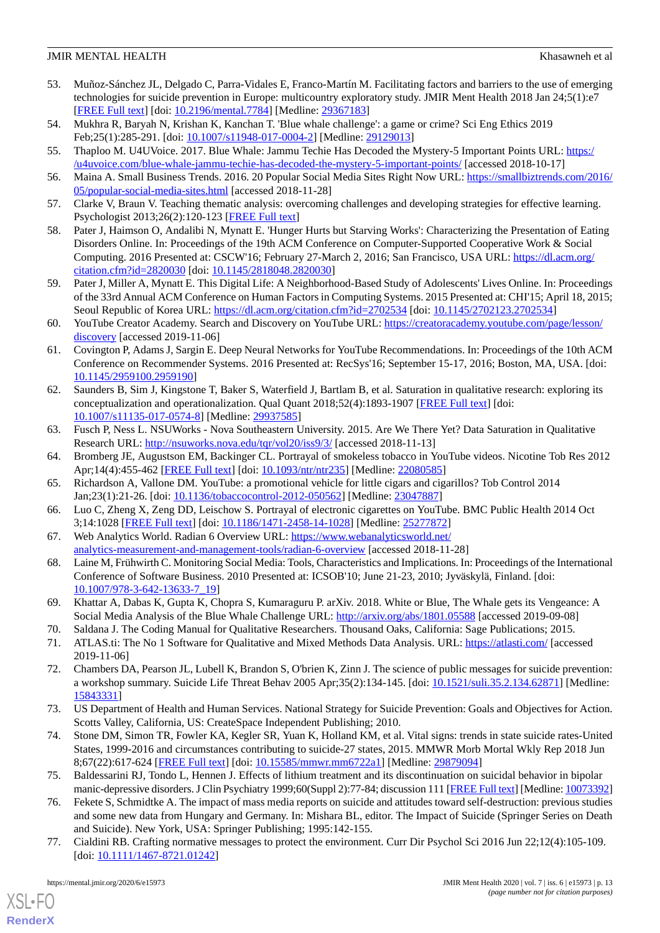- <span id="page-12-0"></span>53. Muñoz-Sánchez JL, Delgado C, Parra-Vidales E, Franco-Martín M. Facilitating factors and barriers to the use of emerging technologies for suicide prevention in Europe: multicountry exploratory study. JMIR Ment Health 2018 Jan 24;5(1):e7 [[FREE Full text](https://mental.jmir.org/2018/1/e7/)] [doi: [10.2196/mental.7784](http://dx.doi.org/10.2196/mental.7784)] [Medline: [29367183](http://www.ncbi.nlm.nih.gov/entrez/query.fcgi?cmd=Retrieve&db=PubMed&list_uids=29367183&dopt=Abstract)]
- <span id="page-12-2"></span><span id="page-12-1"></span>54. Mukhra R, Baryah N, Krishan K, Kanchan T. 'Blue whale challenge': a game or crime? Sci Eng Ethics 2019 Feb; 25(1): 285-291. [doi:  $\frac{10.1007}{s11948-017-0004-2}$ ] [Medline: [29129013](http://www.ncbi.nlm.nih.gov/entrez/query.fcgi?cmd=Retrieve&db=PubMed&list_uids=29129013&dopt=Abstract)]
- <span id="page-12-3"></span>55. Thaploo M. U4UVoice. 2017. Blue Whale: Jammu Techie Has Decoded the Mystery-5 Important Points URL: [https:/](https://u4uvoice.com/blue-whale-jammu-techie-has-decoded-the-mystery-5-important-points/) [/u4uvoice.com/blue-whale-jammu-techie-has-decoded-the-mystery-5-important-points/](https://u4uvoice.com/blue-whale-jammu-techie-has-decoded-the-mystery-5-important-points/) [accessed 2018-10-17]
- <span id="page-12-4"></span>56. Maina A. Small Business Trends. 2016. 20 Popular Social Media Sites Right Now URL: [https://smallbiztrends.com/2016/](https://smallbiztrends.com/2016/05/popular-social-media-sites.html) [05/popular-social-media-sites.html](https://smallbiztrends.com/2016/05/popular-social-media-sites.html) [accessed 2018-11-28]
- <span id="page-12-5"></span>57. Clarke V, Braun V. Teaching thematic analysis: overcoming challenges and developing strategies for effective learning. Psychologist 2013;26(2):120-123 [\[FREE Full text\]](https://uwe-repository.worktribe.com/output/937596/teaching-thematic-analysis-overcoming-challenges-and-developing-strategies-for-effective-learning)
- <span id="page-12-6"></span>58. Pater J, Haimson O, Andalibi N, Mynatt E. 'Hunger Hurts but Starving Works': Characterizing the Presentation of Eating Disorders Online. In: Proceedings of the 19th ACM Conference on Computer-Supported Cooperative Work & Social Computing. 2016 Presented at: CSCW'16; February 27-March 2, 2016; San Francisco, USA URL: [https://dl.acm.org/](https://dl.acm.org/citation.cfm?id=2820030) [citation.cfm?id=2820030](https://dl.acm.org/citation.cfm?id=2820030) [doi: [10.1145/2818048.2820030](http://dx.doi.org/10.1145/2818048.2820030)]
- <span id="page-12-7"></span>59. Pater J, Miller A, Mynatt E. This Digital Life: A Neighborhood-Based Study of Adolescents' Lives Online. In: Proceedings of the 33rd Annual ACM Conference on Human Factors in Computing Systems. 2015 Presented at: CHI'15; April 18, 2015; Seoul Republic of Korea URL:<https://dl.acm.org/citation.cfm?id=2702534> [doi: [10.1145/2702123.2702534\]](http://dx.doi.org/10.1145/2702123.2702534)
- <span id="page-12-8"></span>60. YouTube Creator Academy. Search and Discovery on YouTube URL: [https://creatoracademy.youtube.com/page/lesson/](https://creatoracademy.youtube.com/page/lesson/discovery) [discovery](https://creatoracademy.youtube.com/page/lesson/discovery) [accessed 2019-11-06]
- <span id="page-12-9"></span>61. Covington P, Adams J, Sargin E. Deep Neural Networks for YouTube Recommendations. In: Proceedings of the 10th ACM Conference on Recommender Systems. 2016 Presented at: RecSys'16; September 15-17, 2016; Boston, MA, USA. [doi: [10.1145/2959100.2959190](http://dx.doi.org/10.1145/2959100.2959190)]
- <span id="page-12-10"></span>62. Saunders B, Sim J, Kingstone T, Baker S, Waterfield J, Bartlam B, et al. Saturation in qualitative research: exploring its conceptualization and operationalization. Qual Quant 2018;52(4):1893-1907 [[FREE Full text](http://europepmc.org/abstract/MED/29937585)] [doi: [10.1007/s11135-017-0574-8\]](http://dx.doi.org/10.1007/s11135-017-0574-8) [Medline: [29937585](http://www.ncbi.nlm.nih.gov/entrez/query.fcgi?cmd=Retrieve&db=PubMed&list_uids=29937585&dopt=Abstract)]
- <span id="page-12-11"></span>63. Fusch P, Ness L. NSUWorks - Nova Southeastern University. 2015. Are We There Yet? Data Saturation in Qualitative Research URL: <http://nsuworks.nova.edu/tqr/vol20/iss9/3/> [accessed 2018-11-13]
- <span id="page-12-12"></span>64. Bromberg JE, Augustson EM, Backinger CL. Portrayal of smokeless tobacco in YouTube videos. Nicotine Tob Res 2012 Apr;14(4):455-462 [\[FREE Full text\]](http://europepmc.org/abstract/MED/22080585) [doi: [10.1093/ntr/ntr235](http://dx.doi.org/10.1093/ntr/ntr235)] [Medline: [22080585](http://www.ncbi.nlm.nih.gov/entrez/query.fcgi?cmd=Retrieve&db=PubMed&list_uids=22080585&dopt=Abstract)]
- <span id="page-12-13"></span>65. Richardson A, Vallone DM. YouTube: a promotional vehicle for little cigars and cigarillos? Tob Control 2014 Jan;23(1):21-26. [doi: [10.1136/tobaccocontrol-2012-050562](http://dx.doi.org/10.1136/tobaccocontrol-2012-050562)] [Medline: [23047887\]](http://www.ncbi.nlm.nih.gov/entrez/query.fcgi?cmd=Retrieve&db=PubMed&list_uids=23047887&dopt=Abstract)
- <span id="page-12-14"></span>66. Luo C, Zheng X, Zeng DD, Leischow S. Portrayal of electronic cigarettes on YouTube. BMC Public Health 2014 Oct 3;14:1028 [[FREE Full text](https://bmcpublichealth.biomedcentral.com/articles/10.1186/1471-2458-14-1028)] [doi: [10.1186/1471-2458-14-1028\]](http://dx.doi.org/10.1186/1471-2458-14-1028) [Medline: [25277872\]](http://www.ncbi.nlm.nih.gov/entrez/query.fcgi?cmd=Retrieve&db=PubMed&list_uids=25277872&dopt=Abstract)
- <span id="page-12-15"></span>67. Web Analytics World. Radian 6 Overview URL: [https://www.webanalyticsworld.net/](https://www.webanalyticsworld.net/analytics-measurement-and-management-tools/radian-6-overview) [analytics-measurement-and-management-tools/radian-6-overview](https://www.webanalyticsworld.net/analytics-measurement-and-management-tools/radian-6-overview) [accessed 2018-11-28]
- <span id="page-12-17"></span><span id="page-12-16"></span>68. Laine M, Frühwirth C. Monitoring Social Media: Tools, Characteristics and Implications. In: Proceedings of the International Conference of Software Business. 2010 Presented at: ICSOB'10; June 21-23, 2010; Jyväskylä, Finland. [doi: [10.1007/978-3-642-13633-7\\_19](http://dx.doi.org/10.1007/978-3-642-13633-7_19)]
- <span id="page-12-18"></span>69. Khattar A, Dabas K, Gupta K, Chopra S, Kumaraguru P. arXiv. 2018. White or Blue, The Whale gets its Vengeance: A Social Media Analysis of the Blue Whale Challenge URL:<http://arxiv.org/abs/1801.05588> [accessed 2019-09-08]
- 70. Saldana J. The Coding Manual for Qualitative Researchers. Thousand Oaks, California: Sage Publications; 2015.
- <span id="page-12-19"></span>71. ATLAS.ti: The No 1 Software for Qualitative and Mixed Methods Data Analysis. URL: <https://atlasti.com/> [accessed 2019-11-06]
- <span id="page-12-20"></span>72. Chambers DA, Pearson JL, Lubell K, Brandon S, O'brien K, Zinn J. The science of public messages for suicide prevention: a workshop summary. Suicide Life Threat Behav 2005 Apr;35(2):134-145. [doi: [10.1521/suli.35.2.134.62871\]](http://dx.doi.org/10.1521/suli.35.2.134.62871) [Medline: [15843331](http://www.ncbi.nlm.nih.gov/entrez/query.fcgi?cmd=Retrieve&db=PubMed&list_uids=15843331&dopt=Abstract)]
- <span id="page-12-22"></span><span id="page-12-21"></span>73. US Department of Health and Human Services. National Strategy for Suicide Prevention: Goals and Objectives for Action. Scotts Valley, California, US: CreateSpace Independent Publishing; 2010.
- 74. Stone DM, Simon TR, Fowler KA, Kegler SR, Yuan K, Holland KM, et al. Vital signs: trends in state suicide rates-United States, 1999-2016 and circumstances contributing to suicide-27 states, 2015. MMWR Morb Mortal Wkly Rep 2018 Jun 8;67(22):617-624 [[FREE Full text](https://doi.org/10.15585/mmwr.mm6722a1)] [doi: [10.15585/mmwr.mm6722a1\]](http://dx.doi.org/10.15585/mmwr.mm6722a1) [Medline: [29879094\]](http://www.ncbi.nlm.nih.gov/entrez/query.fcgi?cmd=Retrieve&db=PubMed&list_uids=29879094&dopt=Abstract)
- <span id="page-12-23"></span>75. Baldessarini RJ, Tondo L, Hennen J. Effects of lithium treatment and its discontinuation on suicidal behavior in bipolar manic-depressive disorders. J Clin Psychiatry 1999;60(Suppl 2):77-84; discussion 111 [\[FREE Full text](http://www.psychiatrist.com/jcp/article/pages/1999/v60s02/v60s0216.aspx)] [Medline: [10073392\]](http://www.ncbi.nlm.nih.gov/entrez/query.fcgi?cmd=Retrieve&db=PubMed&list_uids=10073392&dopt=Abstract)
- 76. Fekete S, Schmidtke A. The impact of mass media reports on suicide and attitudes toward self-destruction: previous studies and some new data from Hungary and Germany. In: Mishara BL, editor. The Impact of Suicide (Springer Series on Death and Suicide). New York, USA: Springer Publishing; 1995:142-155.
- 77. Cialdini RB. Crafting normative messages to protect the environment. Curr Dir Psychol Sci 2016 Jun 22;12(4):105-109. [doi: [10.1111/1467-8721.01242](http://dx.doi.org/10.1111/1467-8721.01242)]

 $XS$  • FO **[RenderX](http://www.renderx.com/)**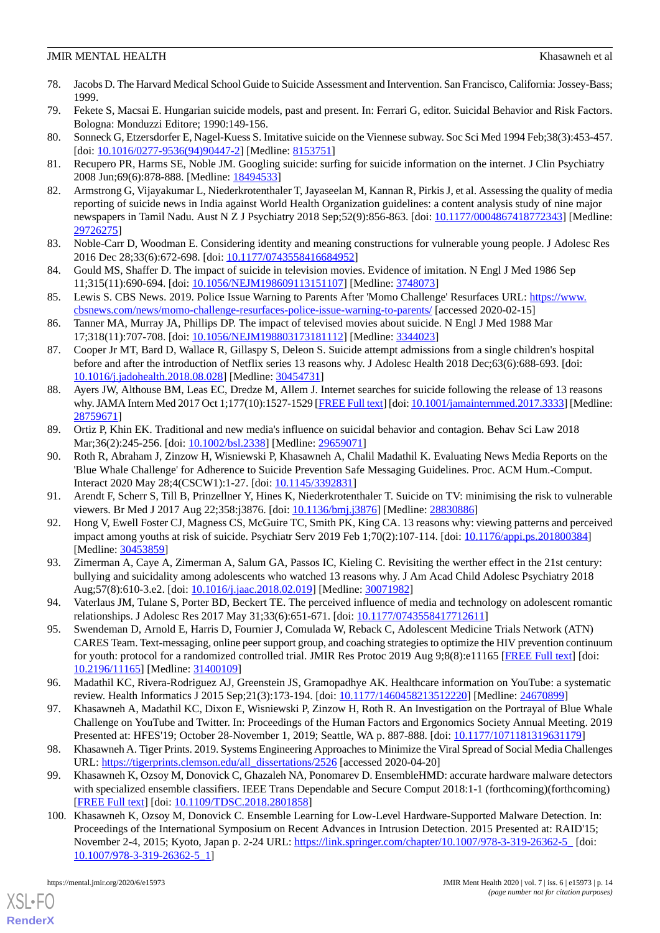- 78. Jacobs D. The Harvard Medical School Guide to Suicide Assessment and Intervention. San Francisco, California: Jossey-Bass; 1999.
- <span id="page-13-1"></span><span id="page-13-0"></span>79. Fekete S, Macsai E. Hungarian suicide models, past and present. In: Ferrari G, editor. Suicidal Behavior and Risk Factors. Bologna: Monduzzi Editore; 1990:149-156.
- <span id="page-13-2"></span>80. Sonneck G, Etzersdorfer E, Nagel-Kuess S. Imitative suicide on the Viennese subway. Soc Sci Med 1994 Feb;38(3):453-457. [doi: [10.1016/0277-9536\(94\)90447-2](http://dx.doi.org/10.1016/0277-9536(94)90447-2)] [Medline: [8153751](http://www.ncbi.nlm.nih.gov/entrez/query.fcgi?cmd=Retrieve&db=PubMed&list_uids=8153751&dopt=Abstract)]
- <span id="page-13-3"></span>81. Recupero PR, Harms SE, Noble JM. Googling suicide: surfing for suicide information on the internet. J Clin Psychiatry 2008 Jun;69(6):878-888. [Medline: [18494533](http://www.ncbi.nlm.nih.gov/entrez/query.fcgi?cmd=Retrieve&db=PubMed&list_uids=18494533&dopt=Abstract)]
- 82. Armstrong G, Vijayakumar L, Niederkrotenthaler T, Jayaseelan M, Kannan R, Pirkis J, et al. Assessing the quality of media reporting of suicide news in India against World Health Organization guidelines: a content analysis study of nine major newspapers in Tamil Nadu. Aust N Z J Psychiatry 2018 Sep;52(9):856-863. [doi: [10.1177/0004867418772343\]](http://dx.doi.org/10.1177/0004867418772343) [Medline: [29726275](http://www.ncbi.nlm.nih.gov/entrez/query.fcgi?cmd=Retrieve&db=PubMed&list_uids=29726275&dopt=Abstract)]
- <span id="page-13-5"></span><span id="page-13-4"></span>83. Noble-Carr D, Woodman E. Considering identity and meaning constructions for vulnerable young people. J Adolesc Res 2016 Dec 28;33(6):672-698. [doi: [10.1177/0743558416684952\]](http://dx.doi.org/10.1177/0743558416684952)
- <span id="page-13-6"></span>84. Gould MS, Shaffer D. The impact of suicide in television movies. Evidence of imitation. N Engl J Med 1986 Sep 11;315(11):690-694. [doi: [10.1056/NEJM198609113151107\]](http://dx.doi.org/10.1056/NEJM198609113151107) [Medline: [3748073\]](http://www.ncbi.nlm.nih.gov/entrez/query.fcgi?cmd=Retrieve&db=PubMed&list_uids=3748073&dopt=Abstract)
- <span id="page-13-7"></span>85. Lewis S. CBS News. 2019. Police Issue Warning to Parents After 'Momo Challenge' Resurfaces URL: [https://www.](https://www.cbsnews.com/news/momo-challenge-resurfaces-police-issue-warning-to-parents/) [cbsnews.com/news/momo-challenge-resurfaces-police-issue-warning-to-parents/](https://www.cbsnews.com/news/momo-challenge-resurfaces-police-issue-warning-to-parents/) [accessed 2020-02-15]
- <span id="page-13-9"></span>86. Tanner MA, Murray JA, Phillips DP. The impact of televised movies about suicide. N Engl J Med 1988 Mar 17;318(11):707-708. [doi: [10.1056/NEJM198803173181112\]](http://dx.doi.org/10.1056/NEJM198803173181112) [Medline: [3344023\]](http://www.ncbi.nlm.nih.gov/entrez/query.fcgi?cmd=Retrieve&db=PubMed&list_uids=3344023&dopt=Abstract)
- <span id="page-13-10"></span>87. Cooper Jr MT, Bard D, Wallace R, Gillaspy S, Deleon S. Suicide attempt admissions from a single children's hospital before and after the introduction of Netflix series 13 reasons why. J Adolesc Health 2018 Dec;63(6):688-693. [doi: [10.1016/j.jadohealth.2018.08.028](http://dx.doi.org/10.1016/j.jadohealth.2018.08.028)] [Medline: [30454731](http://www.ncbi.nlm.nih.gov/entrez/query.fcgi?cmd=Retrieve&db=PubMed&list_uids=30454731&dopt=Abstract)]
- 88. Ayers JW, Althouse BM, Leas EC, Dredze M, Allem J. Internet searches for suicide following the release of 13 reasons why. JAMA Intern Med 2017 Oct 1;177(10):1527-1529 [\[FREE Full text\]](http://europepmc.org/abstract/MED/28759671) [doi: [10.1001/jamainternmed.2017.3333\]](http://dx.doi.org/10.1001/jamainternmed.2017.3333) [Medline: [28759671](http://www.ncbi.nlm.nih.gov/entrez/query.fcgi?cmd=Retrieve&db=PubMed&list_uids=28759671&dopt=Abstract)]
- <span id="page-13-8"></span>89. Ortiz P, Khin EK. Traditional and new media's influence on suicidal behavior and contagion. Behav Sci Law 2018 Mar;36(2):245-256. [doi: [10.1002/bsl.2338\]](http://dx.doi.org/10.1002/bsl.2338) [Medline: [29659071](http://www.ncbi.nlm.nih.gov/entrez/query.fcgi?cmd=Retrieve&db=PubMed&list_uids=29659071&dopt=Abstract)]
- 90. Roth R, Abraham J, Zinzow H, Wisniewski P, Khasawneh A, Chalil Madathil K. Evaluating News Media Reports on the 'Blue Whale Challenge' for Adherence to Suicide Prevention Safe Messaging Guidelines. Proc. ACM Hum.-Comput. Interact 2020 May 28;4(CSCW1):1-27. [doi: [10.1145/3392831](http://dx.doi.org/10.1145/3392831)]
- 91. Arendt F, Scherr S, Till B, Prinzellner Y, Hines K, Niederkrotenthaler T. Suicide on TV: minimising the risk to vulnerable viewers. Br Med J 2017 Aug 22;358:j3876. [doi: [10.1136/bmj.j3876](http://dx.doi.org/10.1136/bmj.j3876)] [Medline: [28830886\]](http://www.ncbi.nlm.nih.gov/entrez/query.fcgi?cmd=Retrieve&db=PubMed&list_uids=28830886&dopt=Abstract)
- 92. Hong V, Ewell Foster CJ, Magness CS, McGuire TC, Smith PK, King CA. 13 reasons why: viewing patterns and perceived impact among youths at risk of suicide. Psychiatr Serv 2019 Feb 1;70(2):107-114. [doi: [10.1176/appi.ps.201800384](http://dx.doi.org/10.1176/appi.ps.201800384)] [Medline: [30453859](http://www.ncbi.nlm.nih.gov/entrez/query.fcgi?cmd=Retrieve&db=PubMed&list_uids=30453859&dopt=Abstract)]
- <span id="page-13-12"></span><span id="page-13-11"></span>93. Zimerman A, Caye A, Zimerman A, Salum GA, Passos IC, Kieling C. Revisiting the werther effect in the 21st century: bullying and suicidality among adolescents who watched 13 reasons why. J Am Acad Child Adolesc Psychiatry 2018 Aug;57(8):610-3.e2. [doi: [10.1016/j.jaac.2018.02.019\]](http://dx.doi.org/10.1016/j.jaac.2018.02.019) [Medline: [30071982\]](http://www.ncbi.nlm.nih.gov/entrez/query.fcgi?cmd=Retrieve&db=PubMed&list_uids=30071982&dopt=Abstract)
- <span id="page-13-13"></span>94. Vaterlaus JM, Tulane S, Porter BD, Beckert TE. The perceived influence of media and technology on adolescent romantic relationships. J Adolesc Res 2017 May 31;33(6):651-671. [doi: [10.1177/0743558417712611](http://dx.doi.org/10.1177/0743558417712611)]
- <span id="page-13-14"></span>95. Swendeman D, Arnold E, Harris D, Fournier J, Comulada W, Reback C, Adolescent Medicine Trials Network (ATN) CARES Team. Text-messaging, online peer support group, and coaching strategies to optimize the HIV prevention continuum for youth: protocol for a randomized controlled trial. JMIR Res Protoc 2019 Aug 9;8(8):e11165 [[FREE Full text](https://www.researchprotocols.org/2019/8/e11165/)] [doi: [10.2196/11165\]](http://dx.doi.org/10.2196/11165) [Medline: [31400109\]](http://www.ncbi.nlm.nih.gov/entrez/query.fcgi?cmd=Retrieve&db=PubMed&list_uids=31400109&dopt=Abstract)
- 96. Madathil KC, Rivera-Rodriguez AJ, Greenstein JS, Gramopadhye AK. Healthcare information on YouTube: a systematic review. Health Informatics J 2015 Sep;21(3):173-194. [doi: [10.1177/1460458213512220\]](http://dx.doi.org/10.1177/1460458213512220) [Medline: [24670899](http://www.ncbi.nlm.nih.gov/entrez/query.fcgi?cmd=Retrieve&db=PubMed&list_uids=24670899&dopt=Abstract)]
- 97. Khasawneh A, Madathil KC, Dixon E, Wisniewski P, Zinzow H, Roth R. An Investigation on the Portrayal of Blue Whale Challenge on YouTube and Twitter. In: Proceedings of the Human Factors and Ergonomics Society Annual Meeting. 2019 Presented at: HFES'19; October 28-November 1, 2019; Seattle, WA p. 887-888. [doi: [10.1177/1071181319631179\]](http://dx.doi.org/10.1177/1071181319631179)
- <span id="page-13-15"></span>98. Khasawneh A. Tiger Prints. 2019. Systems Engineering Approaches to Minimize the Viral Spread of Social Media Challenges URL: [https://tigerprints.clemson.edu/all\\_dissertations/2526](https://tigerprints.clemson.edu/all_dissertations/2526) [accessed 2020-04-20]
- 99. Khasawneh K, Ozsoy M, Donovick C, Ghazaleh NA, Ponomarev D. EnsembleHMD: accurate hardware malware detectors with specialized ensemble classifiers. IEEE Trans Dependable and Secure Comput 2018:1-1 (forthcoming)(forthcoming) [[FREE Full text](https://ieeexplore.ieee.org/abstract/document/8280556/)] [doi: [10.1109/TDSC.2018.2801858](http://dx.doi.org/10.1109/TDSC.2018.2801858)]
- 100. Khasawneh K, Ozsoy M, Donovick C. Ensemble Learning for Low-Level Hardware-Supported Malware Detection. In: Proceedings of the International Symposium on Recent Advances in Intrusion Detection. 2015 Presented at: RAID'15; November 2-4, 2015; Kyoto, Japan p. 2-24 URL: [https://link.springer.com/chapter/10.1007/978-3-319-26362-5\\_](https://link.springer.com/chapter/10.1007/978-3-319-26362-5_) [doi: [10.1007/978-3-319-26362-5\\_1](http://dx.doi.org/10.1007/978-3-319-26362-5_1)]